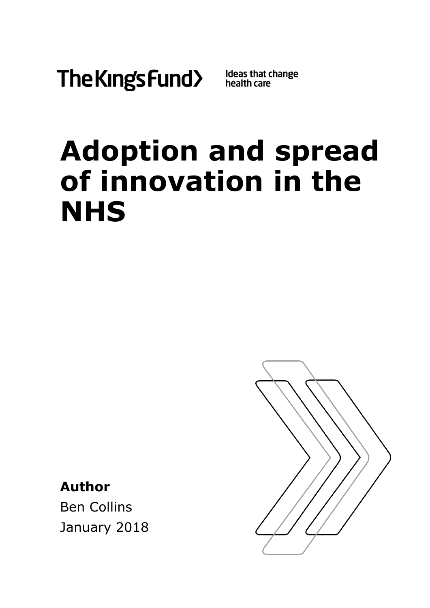

# **Adoption and spread of innovation in the NHS**

**Author**

Ben Collins January 2018

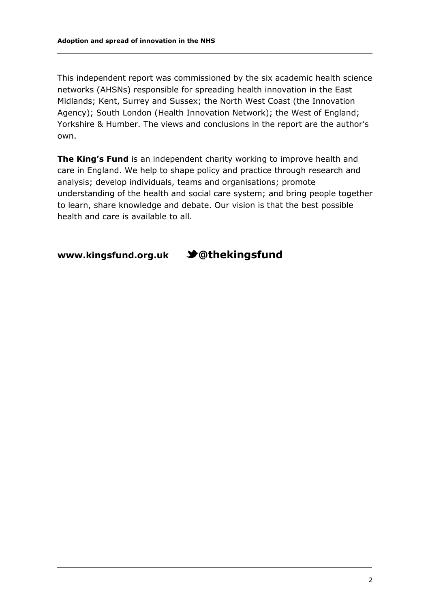This independent report was commissioned by the six academic health science networks (AHSNs) responsible for spreading health innovation in the East Midlands; Kent, Surrey and Sussex; the North West Coast (the Innovation Agency); South London (Health Innovation Network); the West of England; Yorkshire & Humber. The views and conclusions in the report are the author's own.

**The King's Fund** is an independent charity working to improve health and care in England. We help to shape policy and practice through research and analysis; develop individuals, teams and organisations; promote understanding of the health and social care system; and bring people together to learn, share knowledge and debate. Our vision is that the best possible health and care is available to all.

**[www.kingsfund.org.uk](http://www.kingsfund.org.uk/) @thekingsfund**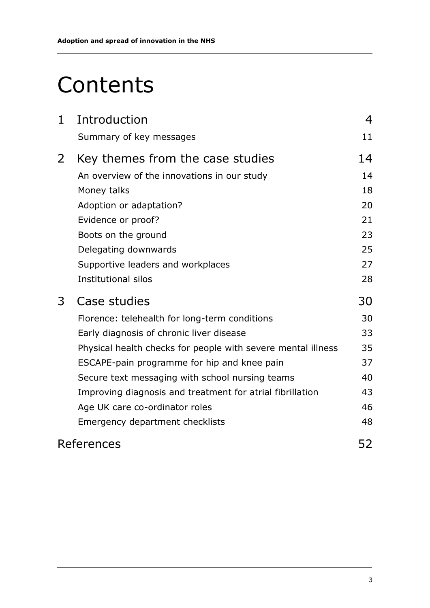# **Contents**

| $\mathbf 1$    | Introduction                                                 | 4  |
|----------------|--------------------------------------------------------------|----|
|                | Summary of key messages                                      | 11 |
| $\overline{2}$ | Key themes from the case studies                             | 14 |
|                | An overview of the innovations in our study                  | 14 |
|                | Money talks                                                  | 18 |
|                | Adoption or adaptation?                                      | 20 |
|                | Evidence or proof?                                           | 21 |
|                | Boots on the ground                                          | 23 |
|                | Delegating downwards                                         | 25 |
|                | Supportive leaders and workplaces                            | 27 |
|                | <b>Institutional silos</b>                                   | 28 |
| 3              | Case studies                                                 | 30 |
|                | Florence: telehealth for long-term conditions                | 30 |
|                | Early diagnosis of chronic liver disease                     | 33 |
|                | Physical health checks for people with severe mental illness | 35 |
|                | ESCAPE-pain programme for hip and knee pain                  | 37 |
|                | Secure text messaging with school nursing teams              | 40 |
|                | Improving diagnosis and treatment for atrial fibrillation    | 43 |
|                | Age UK care co-ordinator roles                               | 46 |
|                | Emergency department checklists                              | 48 |
|                | References                                                   | 52 |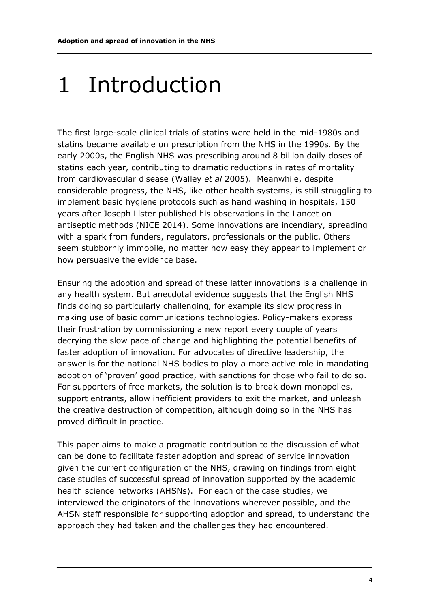# 1 Introduction

The first large-scale clinical trials of statins were held in the mid-1980s and statins became available on prescription from the NHS in the 1990s. By the early 2000s, the English NHS was prescribing around 8 billion daily doses of statins each year, contributing to dramatic reductions in rates of mortality from cardiovascular disease (Walley *et al* 2005). Meanwhile, despite considerable progress, the NHS, like other health systems, is still struggling to implement basic hygiene protocols such as hand washing in hospitals, 150 years after Joseph Lister published his observations in the Lancet on antiseptic methods (NICE 2014). Some innovations are incendiary, spreading with a spark from funders, regulators, professionals or the public. Others seem stubbornly immobile, no matter how easy they appear to implement or how persuasive the evidence base.

Ensuring the adoption and spread of these latter innovations is a challenge in any health system. But anecdotal evidence suggests that the English NHS finds doing so particularly challenging, for example its slow progress in making use of basic communications technologies. Policy-makers express their frustration by commissioning a new report every couple of years decrying the slow pace of change and highlighting the potential benefits of faster adoption of innovation. For advocates of directive leadership, the answer is for the national NHS bodies to play a more active role in mandating adoption of 'proven' good practice, with sanctions for those who fail to do so. For supporters of free markets, the solution is to break down monopolies, support entrants, allow inefficient providers to exit the market, and unleash the creative destruction of competition, although doing so in the NHS has proved difficult in practice.

This paper aims to make a pragmatic contribution to the discussion of what can be done to facilitate faster adoption and spread of service innovation given the current configuration of the NHS, drawing on findings from eight case studies of successful spread of innovation supported by the academic health science networks (AHSNs). For each of the case studies, we interviewed the originators of the innovations wherever possible, and the AHSN staff responsible for supporting adoption and spread, to understand the approach they had taken and the challenges they had encountered.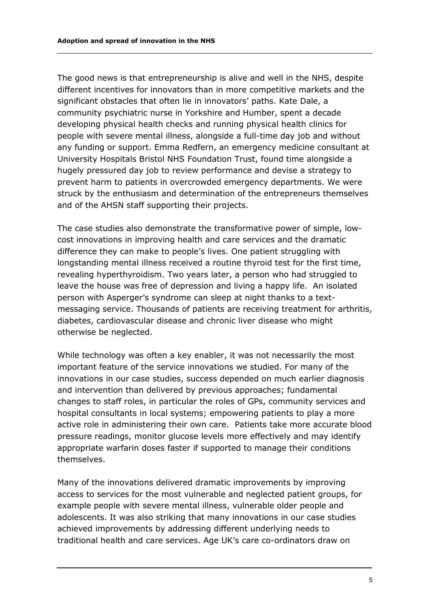The good news is that entrepreneurship is alive and well in the NHS, despite different incentives for innovators than in more competitive markets and the significant obstacles that often lie in innovators' paths. Kate Dale, a community psychiatric nurse in Yorkshire and Humber, spent a decade developing physical health checks and running physical health clinics for people with severe mental illness, alongside a full-time day job and without any funding or support. Emma Redfern, an emergency medicine consultant at University Hospitals Bristol NHS Foundation Trust, found time alongside a hugely pressured day job to review performance and devise a strategy to prevent harm to patients in overcrowded emergency departments. We were struck by the enthusiasm and determination of the entrepreneurs themselves and of the AHSN staff supporting their projects.

The case studies also demonstrate the transformative power of simple, lowcost innovations in improving health and care services and the dramatic difference they can make to people's lives. One patient struggling with longstanding mental illness received a routine thyroid test for the first time, revealing hyperthyroidism. Two years later, a person who had struggled to leave the house was free of depression and living a happy life. An isolated person with Asperger's syndrome can sleep at night thanks to a textmessaging service. Thousands of patients are receiving treatment for arthritis, diabetes, cardiovascular disease and chronic liver disease who might otherwise be neglected.

While technology was often a key enabler, it was not necessarily the most important feature of the service innovations we studied. For many of the innovations in our case studies, success depended on much earlier diagnosis and intervention than delivered by previous approaches; fundamental changes to staff roles, in particular the roles of GPs, community services and hospital consultants in local systems; empowering patients to play a more active role in administering their own care. Patients take more accurate blood pressure readings, monitor glucose levels more effectively and may identify appropriate warfarin doses faster if supported to manage their conditions themselves.

Many of the innovations delivered dramatic improvements by improving access to services for the most vulnerable and neglected patient groups, for example people with severe mental illness, vulnerable older people and adolescents. It was also striking that many innovations in our case studies achieved improvements by addressing different underlying needs to traditional health and care services. Age UK's care co-ordinators draw on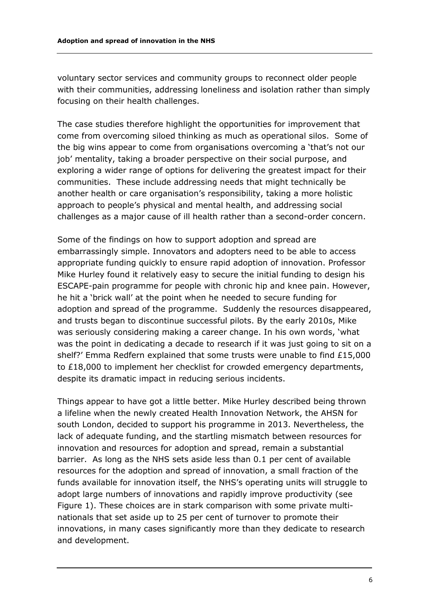voluntary sector services and community groups to reconnect older people with their communities, addressing loneliness and isolation rather than simply focusing on their health challenges.

The case studies therefore highlight the opportunities for improvement that come from overcoming siloed thinking as much as operational silos. Some of the big wins appear to come from organisations overcoming a 'that's not our job' mentality, taking a broader perspective on their social purpose, and exploring a wider range of options for delivering the greatest impact for their communities. These include addressing needs that might technically be another health or care organisation's responsibility, taking a more holistic approach to people's physical and mental health, and addressing social challenges as a major cause of ill health rather than a second-order concern.

Some of the findings on how to support adoption and spread are embarrassingly simple. Innovators and adopters need to be able to access appropriate funding quickly to ensure rapid adoption of innovation. Professor Mike Hurley found it relatively easy to secure the initial funding to design his ESCAPE-pain programme for people with chronic hip and knee pain. However, he hit a 'brick wall' at the point when he needed to secure funding for adoption and spread of the programme. Suddenly the resources disappeared, and trusts began to discontinue successful pilots. By the early 2010s, Mike was seriously considering making a career change. In his own words, 'what was the point in dedicating a decade to research if it was just going to sit on a shelf?' Emma Redfern explained that some trusts were unable to find £15,000 to £18,000 to implement her checklist for crowded emergency departments, despite its dramatic impact in reducing serious incidents.

Things appear to have got a little better. Mike Hurley described being thrown a lifeline when the newly created Health Innovation Network, the AHSN for south London, decided to support his programme in 2013. Nevertheless, the lack of adequate funding, and the startling mismatch between resources for innovation and resources for adoption and spread, remain a substantial barrier. As long as the NHS sets aside less than 0.1 per cent of available resources for the adoption and spread of innovation, a small fraction of the funds available for innovation itself, the NHS's operating units will struggle to adopt large numbers of innovations and rapidly improve productivity (see Figure 1). These choices are in stark comparison with some private multinationals that set aside up to 25 per cent of turnover to promote their innovations, in many cases significantly more than they dedicate to research and development.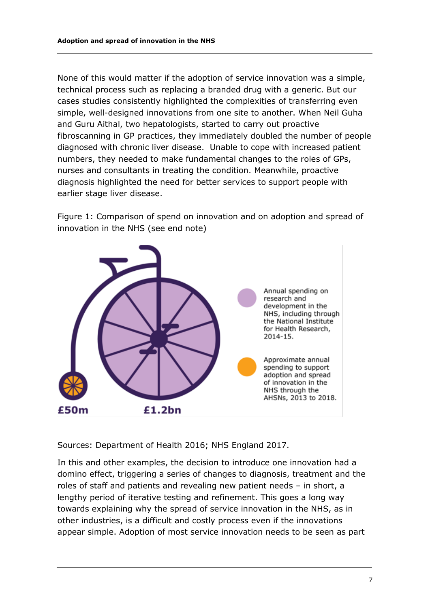None of this would matter if the adoption of service innovation was a simple, technical process such as replacing a branded drug with a generic. But our cases studies consistently highlighted the complexities of transferring even simple, well-designed innovations from one site to another. When Neil Guha and Guru Aithal, two hepatologists, started to carry out proactive fibroscanning in GP practices, they immediately doubled the number of people diagnosed with chronic liver disease. Unable to cope with increased patient numbers, they needed to make fundamental changes to the roles of GPs, nurses and consultants in treating the condition. Meanwhile, proactive diagnosis highlighted the need for better services to support people with earlier stage liver disease.

Figure 1: Comparison of spend on innovation and on adoption and spread of innovation in the NHS (see end note)



Sources: Department of Health 2016; NHS England 2017.

In this and other examples, the decision to introduce one innovation had a domino effect, triggering a series of changes to diagnosis, treatment and the roles of staff and patients and revealing new patient needs – in short, a lengthy period of iterative testing and refinement. This goes a long way towards explaining why the spread of service innovation in the NHS, as in other industries, is a difficult and costly process even if the innovations appear simple. Adoption of most service innovation needs to be seen as part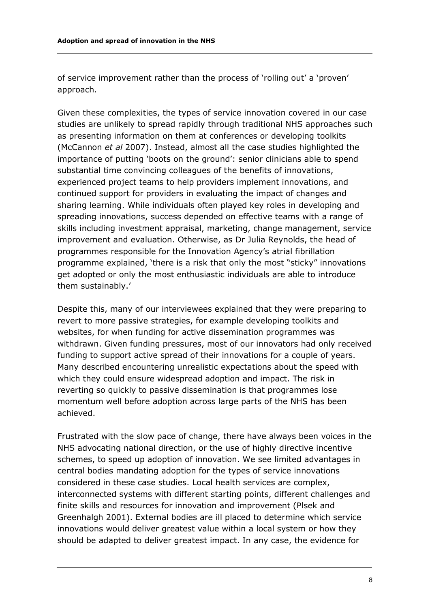of service improvement rather than the process of 'rolling out' a 'proven' approach.

Given these complexities, the types of service innovation covered in our case studies are unlikely to spread rapidly through traditional NHS approaches such as presenting information on them at conferences or developing toolkits (McCannon *et al* 2007). Instead, almost all the case studies highlighted the importance of putting 'boots on the ground': senior clinicians able to spend substantial time convincing colleagues of the benefits of innovations, experienced project teams to help providers implement innovations, and continued support for providers in evaluating the impact of changes and sharing learning. While individuals often played key roles in developing and spreading innovations, success depended on effective teams with a range of skills including investment appraisal, marketing, change management, service improvement and evaluation. Otherwise, as Dr Julia Reynolds, the head of programmes responsible for the Innovation Agency's atrial fibrillation programme explained, 'there is a risk that only the most "sticky" innovations get adopted or only the most enthusiastic individuals are able to introduce them sustainably.'

Despite this, many of our interviewees explained that they were preparing to revert to more passive strategies, for example developing toolkits and websites, for when funding for active dissemination programmes was withdrawn. Given funding pressures, most of our innovators had only received funding to support active spread of their innovations for a couple of years. Many described encountering unrealistic expectations about the speed with which they could ensure widespread adoption and impact. The risk in reverting so quickly to passive dissemination is that programmes lose momentum well before adoption across large parts of the NHS has been achieved.

Frustrated with the slow pace of change, there have always been voices in the NHS advocating national direction, or the use of highly directive incentive schemes, to speed up adoption of innovation. We see limited advantages in central bodies mandating adoption for the types of service innovations considered in these case studies. Local health services are complex, interconnected systems with different starting points, different challenges and finite skills and resources for innovation and improvement (Plsek and Greenhalgh 2001). External bodies are ill placed to determine which service innovations would deliver greatest value within a local system or how they should be adapted to deliver greatest impact. In any case, the evidence for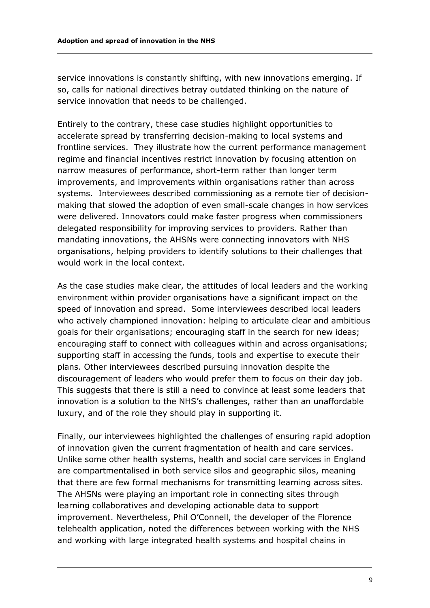service innovations is constantly shifting, with new innovations emerging. If so, calls for national directives betray outdated thinking on the nature of service innovation that needs to be challenged.

Entirely to the contrary, these case studies highlight opportunities to accelerate spread by transferring decision-making to local systems and frontline services. They illustrate how the current performance management regime and financial incentives restrict innovation by focusing attention on narrow measures of performance, short-term rather than longer term improvements, and improvements within organisations rather than across systems. Interviewees described commissioning as a remote tier of decisionmaking that slowed the adoption of even small-scale changes in how services were delivered. Innovators could make faster progress when commissioners delegated responsibility for improving services to providers. Rather than mandating innovations, the AHSNs were connecting innovators with NHS organisations, helping providers to identify solutions to their challenges that would work in the local context.

As the case studies make clear, the attitudes of local leaders and the working environment within provider organisations have a significant impact on the speed of innovation and spread. Some interviewees described local leaders who actively championed innovation: helping to articulate clear and ambitious goals for their organisations; encouraging staff in the search for new ideas; encouraging staff to connect with colleagues within and across organisations; supporting staff in accessing the funds, tools and expertise to execute their plans. Other interviewees described pursuing innovation despite the discouragement of leaders who would prefer them to focus on their day job. This suggests that there is still a need to convince at least some leaders that innovation is a solution to the NHS's challenges, rather than an unaffordable luxury, and of the role they should play in supporting it.

Finally, our interviewees highlighted the challenges of ensuring rapid adoption of innovation given the current fragmentation of health and care services. Unlike some other health systems, health and social care services in England are compartmentalised in both service silos and geographic silos, meaning that there are few formal mechanisms for transmitting learning across sites. The AHSNs were playing an important role in connecting sites through learning collaboratives and developing actionable data to support improvement. Nevertheless, Phil O'Connell, the developer of the Florence telehealth application, noted the differences between working with the NHS and working with large integrated health systems and hospital chains in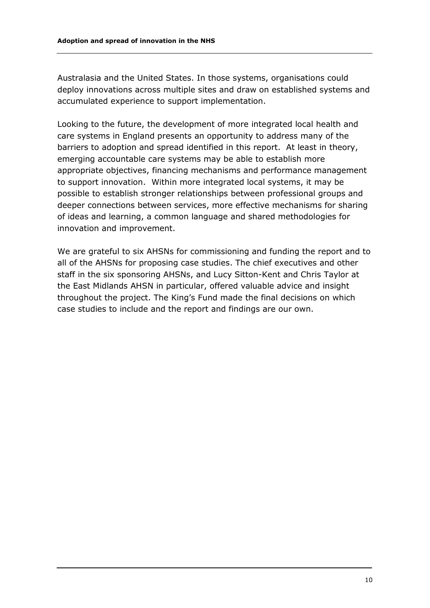Australasia and the United States. In those systems, organisations could deploy innovations across multiple sites and draw on established systems and accumulated experience to support implementation.

Looking to the future, the development of more integrated local health and care systems in England presents an opportunity to address many of the barriers to adoption and spread identified in this report. At least in theory, emerging accountable care systems may be able to establish more appropriate objectives, financing mechanisms and performance management to support innovation. Within more integrated local systems, it may be possible to establish stronger relationships between professional groups and deeper connections between services, more effective mechanisms for sharing of ideas and learning, a common language and shared methodologies for innovation and improvement.

We are grateful to six AHSNs for commissioning and funding the report and to all of the AHSNs for proposing case studies. The chief executives and other staff in the six sponsoring AHSNs, and Lucy Sitton-Kent and Chris Taylor at the East Midlands AHSN in particular, offered valuable advice and insight throughout the project. The King's Fund made the final decisions on which case studies to include and the report and findings are our own.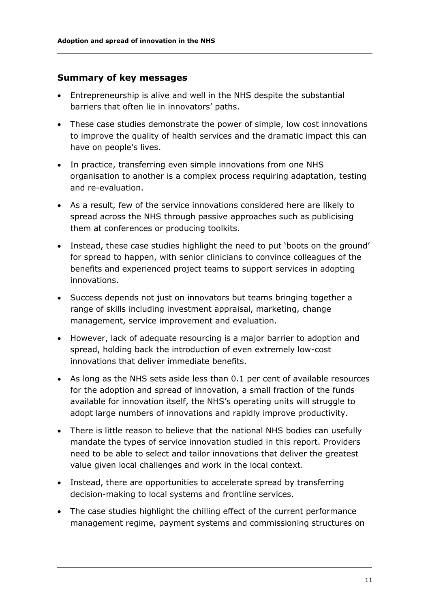#### **Summary of key messages**

- Entrepreneurship is alive and well in the NHS despite the substantial barriers that often lie in innovators' paths.
- These case studies demonstrate the power of simple, low cost innovations to improve the quality of health services and the dramatic impact this can have on people's lives.
- In practice, transferring even simple innovations from one NHS organisation to another is a complex process requiring adaptation, testing and re-evaluation.
- As a result, few of the service innovations considered here are likely to spread across the NHS through passive approaches such as publicising them at conferences or producing toolkits.
- Instead, these case studies highlight the need to put 'boots on the ground' for spread to happen, with senior clinicians to convince colleagues of the benefits and experienced project teams to support services in adopting innovations.
- Success depends not just on innovators but teams bringing together a range of skills including investment appraisal, marketing, change management, service improvement and evaluation.
- However, lack of adequate resourcing is a major barrier to adoption and spread, holding back the introduction of even extremely low-cost innovations that deliver immediate benefits.
- As long as the NHS sets aside less than 0.1 per cent of available resources for the adoption and spread of innovation, a small fraction of the funds available for innovation itself, the NHS's operating units will struggle to adopt large numbers of innovations and rapidly improve productivity.
- There is little reason to believe that the national NHS bodies can usefully mandate the types of service innovation studied in this report. Providers need to be able to select and tailor innovations that deliver the greatest value given local challenges and work in the local context.
- Instead, there are opportunities to accelerate spread by transferring decision-making to local systems and frontline services.
- The case studies highlight the chilling effect of the current performance management regime, payment systems and commissioning structures on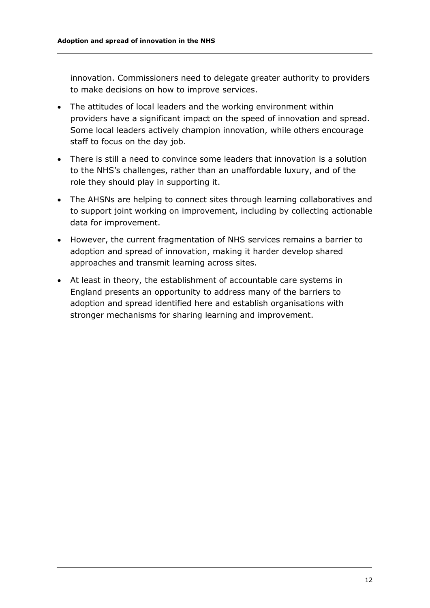innovation. Commissioners need to delegate greater authority to providers to make decisions on how to improve services.

- The attitudes of local leaders and the working environment within providers have a significant impact on the speed of innovation and spread. Some local leaders actively champion innovation, while others encourage staff to focus on the day job.
- There is still a need to convince some leaders that innovation is a solution to the NHS's challenges, rather than an unaffordable luxury, and of the role they should play in supporting it.
- The AHSNs are helping to connect sites through learning collaboratives and to support joint working on improvement, including by collecting actionable data for improvement.
- However, the current fragmentation of NHS services remains a barrier to adoption and spread of innovation, making it harder develop shared approaches and transmit learning across sites.
- At least in theory, the establishment of accountable care systems in England presents an opportunity to address many of the barriers to adoption and spread identified here and establish organisations with stronger mechanisms for sharing learning and improvement.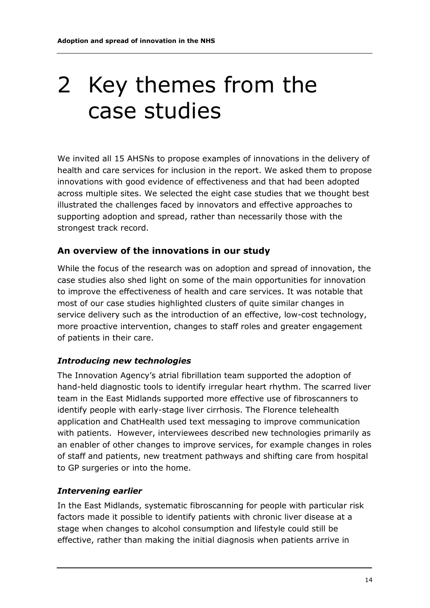### 2 Key themes from the case studies

We invited all 15 AHSNs to propose examples of innovations in the delivery of health and care services for inclusion in the report. We asked them to propose innovations with good evidence of effectiveness and that had been adopted across multiple sites. We selected the eight case studies that we thought best illustrated the challenges faced by innovators and effective approaches to supporting adoption and spread, rather than necessarily those with the strongest track record.

#### **An overview of the innovations in our study**

While the focus of the research was on adoption and spread of innovation, the case studies also shed light on some of the main opportunities for innovation to improve the effectiveness of health and care services. It was notable that most of our case studies highlighted clusters of quite similar changes in service delivery such as the introduction of an effective, low-cost technology, more proactive intervention, changes to staff roles and greater engagement of patients in their care.

#### *Introducing new technologies*

The Innovation Agency's atrial fibrillation team supported the adoption of hand-held diagnostic tools to identify irregular heart rhythm. The scarred liver team in the East Midlands supported more effective use of fibroscanners to identify people with early-stage liver cirrhosis. The Florence telehealth application and ChatHealth used text messaging to improve communication with patients. However, interviewees described new technologies primarily as an enabler of other changes to improve services, for example changes in roles of staff and patients, new treatment pathways and shifting care from hospital to GP surgeries or into the home.

#### *Intervening earlier*

In the East Midlands, systematic fibroscanning for people with particular risk factors made it possible to identify patients with chronic liver disease at a stage when changes to alcohol consumption and lifestyle could still be effective, rather than making the initial diagnosis when patients arrive in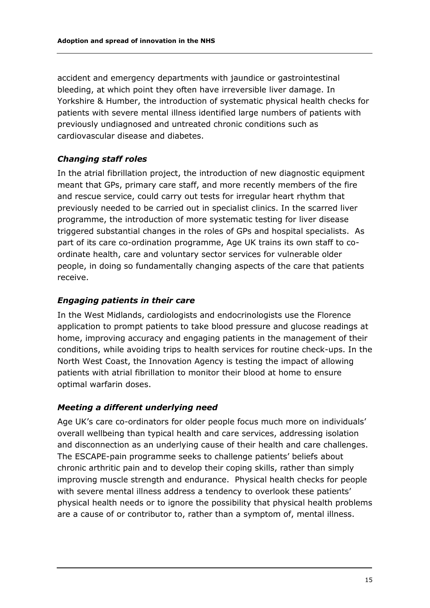accident and emergency departments with jaundice or gastrointestinal bleeding, at which point they often have irreversible liver damage. In Yorkshire & Humber, the introduction of systematic physical health checks for patients with severe mental illness identified large numbers of patients with previously undiagnosed and untreated chronic conditions such as cardiovascular disease and diabetes.

#### *Changing staff roles*

In the atrial fibrillation project, the introduction of new diagnostic equipment meant that GPs, primary care staff, and more recently members of the fire and rescue service, could carry out tests for irregular heart rhythm that previously needed to be carried out in specialist clinics. In the scarred liver programme, the introduction of more systematic testing for liver disease triggered substantial changes in the roles of GPs and hospital specialists. As part of its care co-ordination programme, Age UK trains its own staff to coordinate health, care and voluntary sector services for vulnerable older people, in doing so fundamentally changing aspects of the care that patients receive.

#### *Engaging patients in their care*

In the West Midlands, cardiologists and endocrinologists use the Florence application to prompt patients to take blood pressure and glucose readings at home, improving accuracy and engaging patients in the management of their conditions, while avoiding trips to health services for routine check-ups. In the North West Coast, the Innovation Agency is testing the impact of allowing patients with atrial fibrillation to monitor their blood at home to ensure optimal warfarin doses.

#### *Meeting a different underlying need*

Age UK's care co-ordinators for older people focus much more on individuals' overall wellbeing than typical health and care services, addressing isolation and disconnection as an underlying cause of their health and care challenges. The ESCAPE-pain programme seeks to challenge patients' beliefs about chronic arthritic pain and to develop their coping skills, rather than simply improving muscle strength and endurance. Physical health checks for people with severe mental illness address a tendency to overlook these patients' physical health needs or to ignore the possibility that physical health problems are a cause of or contributor to, rather than a symptom of, mental illness.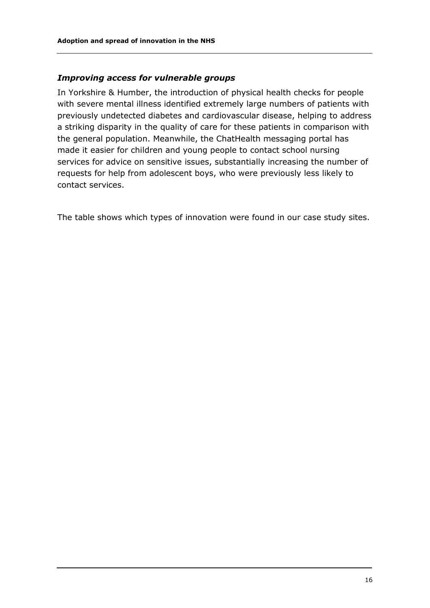#### *Improving access for vulnerable groups*

In Yorkshire & Humber, the introduction of physical health checks for people with severe mental illness identified extremely large numbers of patients with previously undetected diabetes and cardiovascular disease, helping to address a striking disparity in the quality of care for these patients in comparison with the general population. Meanwhile, the ChatHealth messaging portal has made it easier for children and young people to contact school nursing services for advice on sensitive issues, substantially increasing the number of requests for help from adolescent boys, who were previously less likely to contact services.

The table shows which types of innovation were found in our case study sites.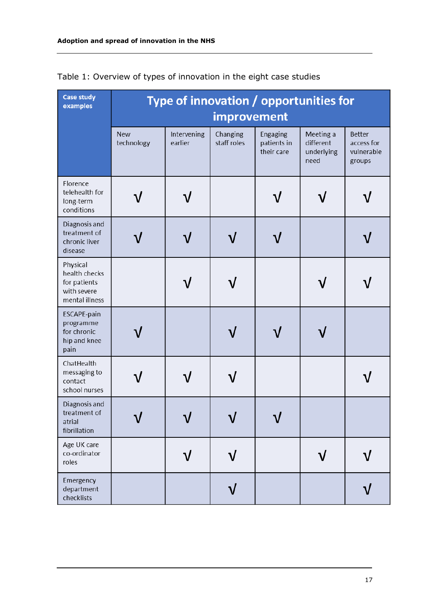| <b>Case study</b><br>examples                                              | Type of innovation / opportunities for |                        |                         |                                       |                                              |                                                     |  |
|----------------------------------------------------------------------------|----------------------------------------|------------------------|-------------------------|---------------------------------------|----------------------------------------------|-----------------------------------------------------|--|
|                                                                            | improvement                            |                        |                         |                                       |                                              |                                                     |  |
|                                                                            | <b>New</b><br>technology               | Intervening<br>earlier | Changing<br>staff roles | Engaging<br>patients in<br>their care | Meeting a<br>different<br>underlying<br>need | <b>Better</b><br>access for<br>vulnerable<br>groups |  |
| Florence<br>telehealth for<br>long-term<br>conditions                      |                                        |                        |                         |                                       |                                              |                                                     |  |
| Diagnosis and<br>treatment of<br>chronic liver<br>disease                  |                                        |                        |                         |                                       |                                              |                                                     |  |
| Physical<br>health checks<br>for patients<br>with severe<br>mental illness |                                        |                        |                         |                                       |                                              |                                                     |  |
| ESCAPE-pain<br>programme<br>for chronic<br>hip and knee<br>pain            |                                        |                        |                         |                                       |                                              |                                                     |  |
| ChatHealth<br>messaging to<br>contact<br>school nurses                     |                                        |                        |                         |                                       |                                              |                                                     |  |
| Diagnosis and<br>treatment of<br>atrial<br>fibrillation                    |                                        |                        |                         |                                       |                                              |                                                     |  |
| Age UK care<br>co-ordinator<br>roles                                       |                                        |                        |                         |                                       |                                              |                                                     |  |
| Emergency<br>department<br>checklists                                      |                                        |                        |                         |                                       |                                              |                                                     |  |

Table 1: Overview of types of innovation in the eight case studies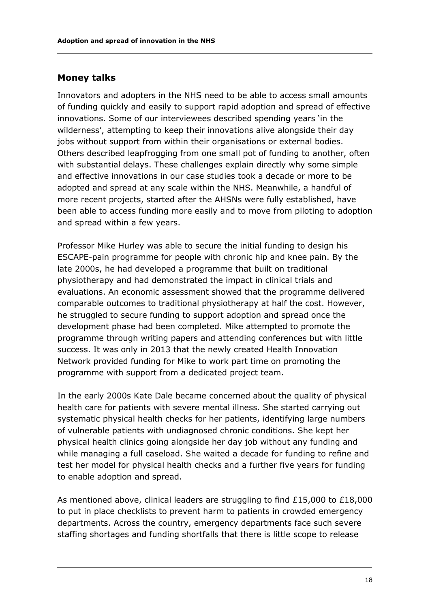#### **Money talks**

Innovators and adopters in the NHS need to be able to access small amounts of funding quickly and easily to support rapid adoption and spread of effective innovations. Some of our interviewees described spending years 'in the wilderness', attempting to keep their innovations alive alongside their day jobs without support from within their organisations or external bodies. Others described leapfrogging from one small pot of funding to another, often with substantial delays. These challenges explain directly why some simple and effective innovations in our case studies took a decade or more to be adopted and spread at any scale within the NHS. Meanwhile, a handful of more recent projects, started after the AHSNs were fully established, have been able to access funding more easily and to move from piloting to adoption and spread within a few years.

Professor Mike Hurley was able to secure the initial funding to design his ESCAPE-pain programme for people with chronic hip and knee pain. By the late 2000s, he had developed a programme that built on traditional physiotherapy and had demonstrated the impact in clinical trials and evaluations. An economic assessment showed that the programme delivered comparable outcomes to traditional physiotherapy at half the cost. However, he struggled to secure funding to support adoption and spread once the development phase had been completed. Mike attempted to promote the programme through writing papers and attending conferences but with little success. It was only in 2013 that the newly created Health Innovation Network provided funding for Mike to work part time on promoting the programme with support from a dedicated project team.

In the early 2000s Kate Dale became concerned about the quality of physical health care for patients with severe mental illness. She started carrying out systematic physical health checks for her patients, identifying large numbers of vulnerable patients with undiagnosed chronic conditions. She kept her physical health clinics going alongside her day job without any funding and while managing a full caseload. She waited a decade for funding to refine and test her model for physical health checks and a further five years for funding to enable adoption and spread.

As mentioned above, clinical leaders are struggling to find £15,000 to £18,000 to put in place checklists to prevent harm to patients in crowded emergency departments. Across the country, emergency departments face such severe staffing shortages and funding shortfalls that there is little scope to release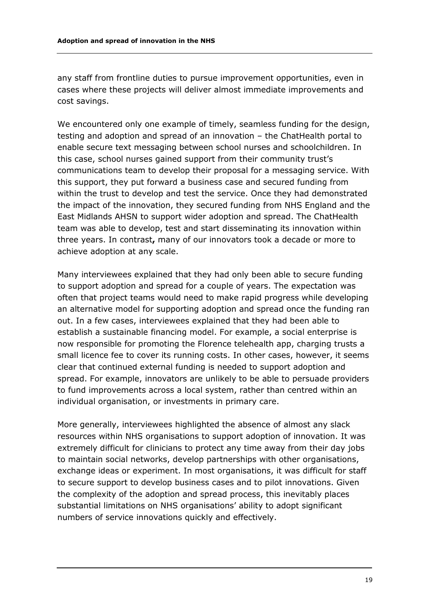any staff from frontline duties to pursue improvement opportunities, even in cases where these projects will deliver almost immediate improvements and cost savings.

We encountered only one example of timely, seamless funding for the design, testing and adoption and spread of an innovation – the ChatHealth portal to enable secure text messaging between school nurses and schoolchildren. In this case, school nurses gained support from their community trust's communications team to develop their proposal for a messaging service. With this support, they put forward a business case and secured funding from within the trust to develop and test the service. Once they had demonstrated the impact of the innovation, they secured funding from NHS England and the East Midlands AHSN to support wider adoption and spread. The ChatHealth team was able to develop, test and start disseminating its innovation within three years. In contrast**,** many of our innovators took a decade or more to achieve adoption at any scale.

Many interviewees explained that they had only been able to secure funding to support adoption and spread for a couple of years. The expectation was often that project teams would need to make rapid progress while developing an alternative model for supporting adoption and spread once the funding ran out. In a few cases, interviewees explained that they had been able to establish a sustainable financing model. For example, a social enterprise is now responsible for promoting the Florence telehealth app, charging trusts a small licence fee to cover its running costs. In other cases, however, it seems clear that continued external funding is needed to support adoption and spread. For example, innovators are unlikely to be able to persuade providers to fund improvements across a local system, rather than centred within an individual organisation, or investments in primary care.

More generally, interviewees highlighted the absence of almost any slack resources within NHS organisations to support adoption of innovation. It was extremely difficult for clinicians to protect any time away from their day jobs to maintain social networks, develop partnerships with other organisations, exchange ideas or experiment. In most organisations, it was difficult for staff to secure support to develop business cases and to pilot innovations. Given the complexity of the adoption and spread process, this inevitably places substantial limitations on NHS organisations' ability to adopt significant numbers of service innovations quickly and effectively.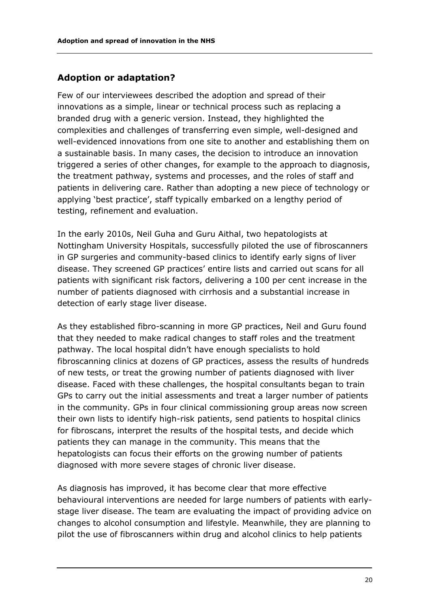#### **Adoption or adaptation?**

Few of our interviewees described the adoption and spread of their innovations as a simple, linear or technical process such as replacing a branded drug with a generic version. Instead, they highlighted the complexities and challenges of transferring even simple, well-designed and well-evidenced innovations from one site to another and establishing them on a sustainable basis. In many cases, the decision to introduce an innovation triggered a series of other changes, for example to the approach to diagnosis, the treatment pathway, systems and processes, and the roles of staff and patients in delivering care. Rather than adopting a new piece of technology or applying 'best practice', staff typically embarked on a lengthy period of testing, refinement and evaluation.

In the early 2010s, Neil Guha and Guru Aithal, two hepatologists at Nottingham University Hospitals, successfully piloted the use of fibroscanners in GP surgeries and community-based clinics to identify early signs of liver disease. They screened GP practices' entire lists and carried out scans for all patients with significant risk factors, delivering a 100 per cent increase in the number of patients diagnosed with cirrhosis and a substantial increase in detection of early stage liver disease.

As they established fibro-scanning in more GP practices, Neil and Guru found that they needed to make radical changes to staff roles and the treatment pathway. The local hospital didn't have enough specialists to hold fibroscanning clinics at dozens of GP practices, assess the results of hundreds of new tests, or treat the growing number of patients diagnosed with liver disease. Faced with these challenges, the hospital consultants began to train GPs to carry out the initial assessments and treat a larger number of patients in the community. GPs in four clinical commissioning group areas now screen their own lists to identify high-risk patients, send patients to hospital clinics for fibroscans, interpret the results of the hospital tests, and decide which patients they can manage in the community. This means that the hepatologists can focus their efforts on the growing number of patients diagnosed with more severe stages of chronic liver disease.

As diagnosis has improved, it has become clear that more effective behavioural interventions are needed for large numbers of patients with earlystage liver disease. The team are evaluating the impact of providing advice on changes to alcohol consumption and lifestyle. Meanwhile, they are planning to pilot the use of fibroscanners within drug and alcohol clinics to help patients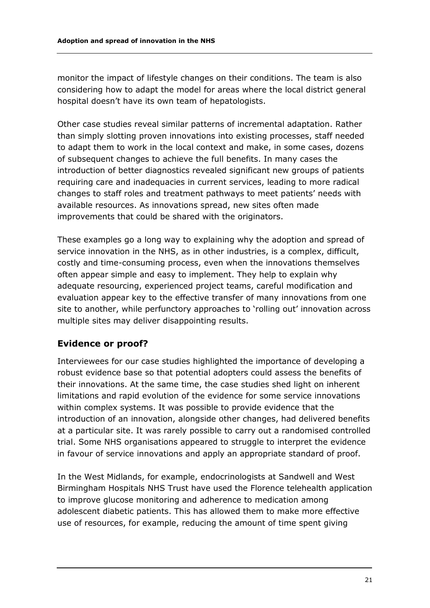monitor the impact of lifestyle changes on their conditions. The team is also considering how to adapt the model for areas where the local district general hospital doesn't have its own team of hepatologists.

Other case studies reveal similar patterns of incremental adaptation. Rather than simply slotting proven innovations into existing processes, staff needed to adapt them to work in the local context and make, in some cases, dozens of subsequent changes to achieve the full benefits. In many cases the introduction of better diagnostics revealed significant new groups of patients requiring care and inadequacies in current services, leading to more radical changes to staff roles and treatment pathways to meet patients' needs with available resources. As innovations spread, new sites often made improvements that could be shared with the originators.

These examples go a long way to explaining why the adoption and spread of service innovation in the NHS, as in other industries, is a complex, difficult, costly and time-consuming process, even when the innovations themselves often appear simple and easy to implement. They help to explain why adequate resourcing, experienced project teams, careful modification and evaluation appear key to the effective transfer of many innovations from one site to another, while perfunctory approaches to 'rolling out' innovation across multiple sites may deliver disappointing results.

#### **Evidence or proof?**

Interviewees for our case studies highlighted the importance of developing a robust evidence base so that potential adopters could assess the benefits of their innovations. At the same time, the case studies shed light on inherent limitations and rapid evolution of the evidence for some service innovations within complex systems. It was possible to provide evidence that the introduction of an innovation, alongside other changes, had delivered benefits at a particular site. It was rarely possible to carry out a randomised controlled trial. Some NHS organisations appeared to struggle to interpret the evidence in favour of service innovations and apply an appropriate standard of proof.

In the West Midlands, for example, endocrinologists at Sandwell and West Birmingham Hospitals NHS Trust have used the Florence telehealth application to improve glucose monitoring and adherence to medication among adolescent diabetic patients. This has allowed them to make more effective use of resources, for example, reducing the amount of time spent giving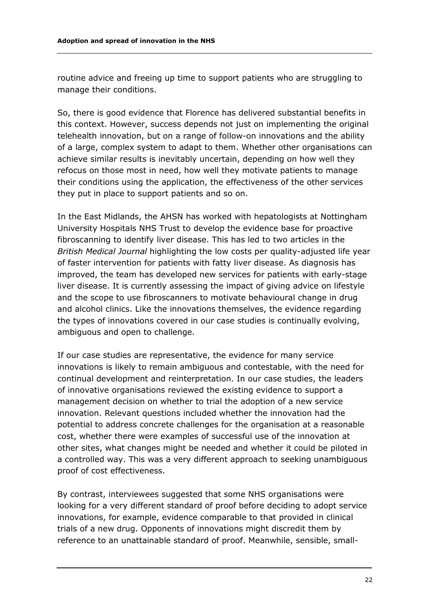routine advice and freeing up time to support patients who are struggling to manage their conditions.

So, there is good evidence that Florence has delivered substantial benefits in this context. However, success depends not just on implementing the original telehealth innovation, but on a range of follow-on innovations and the ability of a large, complex system to adapt to them. Whether other organisations can achieve similar results is inevitably uncertain, depending on how well they refocus on those most in need, how well they motivate patients to manage their conditions using the application, the effectiveness of the other services they put in place to support patients and so on.

In the East Midlands, the AHSN has worked with hepatologists at Nottingham University Hospitals NHS Trust to develop the evidence base for proactive fibroscanning to identify liver disease. This has led to two articles in the *British Medical Journal* highlighting the low costs per quality-adjusted life year of faster intervention for patients with fatty liver disease. As diagnosis has improved, the team has developed new services for patients with early-stage liver disease. It is currently assessing the impact of giving advice on lifestyle and the scope to use fibroscanners to motivate behavioural change in drug and alcohol clinics. Like the innovations themselves, the evidence regarding the types of innovations covered in our case studies is continually evolving, ambiguous and open to challenge.

If our case studies are representative, the evidence for many service innovations is likely to remain ambiguous and contestable, with the need for continual development and reinterpretation. In our case studies, the leaders of innovative organisations reviewed the existing evidence to support a management decision on whether to trial the adoption of a new service innovation. Relevant questions included whether the innovation had the potential to address concrete challenges for the organisation at a reasonable cost, whether there were examples of successful use of the innovation at other sites, what changes might be needed and whether it could be piloted in a controlled way. This was a very different approach to seeking unambiguous proof of cost effectiveness.

By contrast, interviewees suggested that some NHS organisations were looking for a very different standard of proof before deciding to adopt service innovations, for example, evidence comparable to that provided in clinical trials of a new drug. Opponents of innovations might discredit them by reference to an unattainable standard of proof. Meanwhile, sensible, small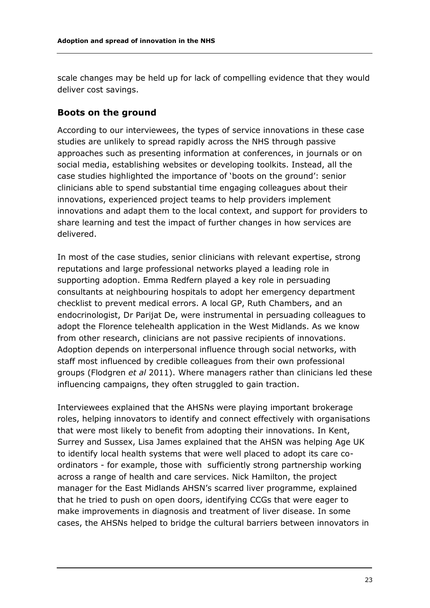scale changes may be held up for lack of compelling evidence that they would deliver cost savings.

#### **Boots on the ground**

According to our interviewees, the types of service innovations in these case studies are unlikely to spread rapidly across the NHS through passive approaches such as presenting information at conferences, in journals or on social media, establishing websites or developing toolkits. Instead, all the case studies highlighted the importance of 'boots on the ground': senior clinicians able to spend substantial time engaging colleagues about their innovations, experienced project teams to help providers implement innovations and adapt them to the local context, and support for providers to share learning and test the impact of further changes in how services are delivered.

In most of the case studies, senior clinicians with relevant expertise, strong reputations and large professional networks played a leading role in supporting adoption. Emma Redfern played a key role in persuading consultants at neighbouring hospitals to adopt her emergency department checklist to prevent medical errors. A local GP, Ruth Chambers, and an endocrinologist, Dr Parijat De, were instrumental in persuading colleagues to adopt the Florence telehealth application in the West Midlands. As we know from other research, clinicians are not passive recipients of innovations. Adoption depends on interpersonal influence through social networks, with staff most influenced by credible colleagues from their own professional groups (Flodgren *et al* 2011). Where managers rather than clinicians led these influencing campaigns, they often struggled to gain traction.

Interviewees explained that the AHSNs were playing important brokerage roles, helping innovators to identify and connect effectively with organisations that were most likely to benefit from adopting their innovations. In Kent, Surrey and Sussex, Lisa James explained that the AHSN was helping Age UK to identify local health systems that were well placed to adopt its care coordinators - for example, those with sufficiently strong partnership working across a range of health and care services. Nick Hamilton, the project manager for the East Midlands AHSN's scarred liver programme, explained that he tried to push on open doors, identifying CCGs that were eager to make improvements in diagnosis and treatment of liver disease. In some cases, the AHSNs helped to bridge the cultural barriers between innovators in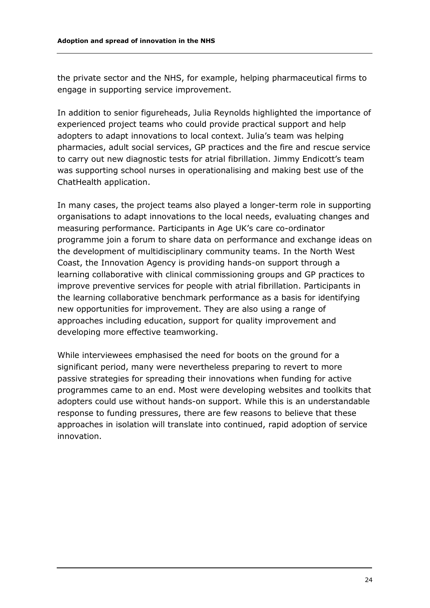the private sector and the NHS, for example, helping pharmaceutical firms to engage in supporting service improvement.

In addition to senior figureheads, Julia Reynolds highlighted the importance of experienced project teams who could provide practical support and help adopters to adapt innovations to local context. Julia's team was helping pharmacies, adult social services, GP practices and the fire and rescue service to carry out new diagnostic tests for atrial fibrillation. Jimmy Endicott's team was supporting school nurses in operationalising and making best use of the ChatHealth application.

In many cases, the project teams also played a longer-term role in supporting organisations to adapt innovations to the local needs, evaluating changes and measuring performance. Participants in Age UK's care co-ordinator programme join a forum to share data on performance and exchange ideas on the development of multidisciplinary community teams. In the North West Coast, the Innovation Agency is providing hands-on support through a learning collaborative with clinical commissioning groups and GP practices to improve preventive services for people with atrial fibrillation. Participants in the learning collaborative benchmark performance as a basis for identifying new opportunities for improvement. They are also using a range of approaches including education, support for quality improvement and developing more effective teamworking.

While interviewees emphasised the need for boots on the ground for a significant period, many were nevertheless preparing to revert to more passive strategies for spreading their innovations when funding for active programmes came to an end. Most were developing websites and toolkits that adopters could use without hands-on support. While this is an understandable response to funding pressures, there are few reasons to believe that these approaches in isolation will translate into continued, rapid adoption of service innovation.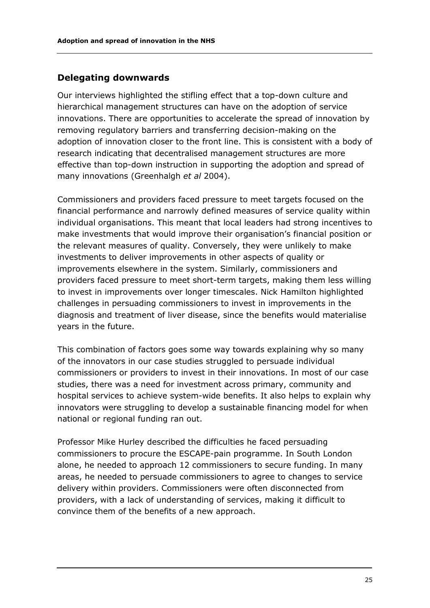#### **Delegating downwards**

Our interviews highlighted the stifling effect that a top-down culture and hierarchical management structures can have on the adoption of service innovations. There are opportunities to accelerate the spread of innovation by removing regulatory barriers and transferring decision-making on the adoption of innovation closer to the front line. This is consistent with a body of research indicating that decentralised management structures are more effective than top-down instruction in supporting the adoption and spread of many innovations (Greenhalgh *et al* 2004).

Commissioners and providers faced pressure to meet targets focused on the financial performance and narrowly defined measures of service quality within individual organisations. This meant that local leaders had strong incentives to make investments that would improve their organisation's financial position or the relevant measures of quality. Conversely, they were unlikely to make investments to deliver improvements in other aspects of quality or improvements elsewhere in the system. Similarly, commissioners and providers faced pressure to meet short-term targets, making them less willing to invest in improvements over longer timescales. Nick Hamilton highlighted challenges in persuading commissioners to invest in improvements in the diagnosis and treatment of liver disease, since the benefits would materialise years in the future.

This combination of factors goes some way towards explaining why so many of the innovators in our case studies struggled to persuade individual commissioners or providers to invest in their innovations. In most of our case studies, there was a need for investment across primary, community and hospital services to achieve system-wide benefits. It also helps to explain why innovators were struggling to develop a sustainable financing model for when national or regional funding ran out.

Professor Mike Hurley described the difficulties he faced persuading commissioners to procure the ESCAPE-pain programme. In South London alone, he needed to approach 12 commissioners to secure funding. In many areas, he needed to persuade commissioners to agree to changes to service delivery within providers. Commissioners were often disconnected from providers, with a lack of understanding of services, making it difficult to convince them of the benefits of a new approach.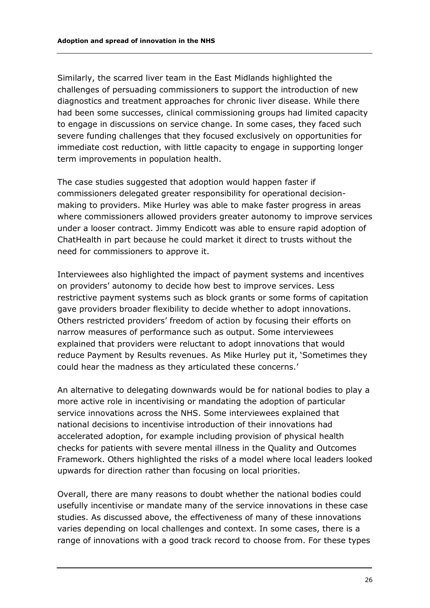Similarly, the scarred liver team in the East Midlands highlighted the challenges of persuading commissioners to support the introduction of new diagnostics and treatment approaches for chronic liver disease. While there had been some successes, clinical commissioning groups had limited capacity to engage in discussions on service change. In some cases, they faced such severe funding challenges that they focused exclusively on opportunities for immediate cost reduction, with little capacity to engage in supporting longer term improvements in population health.

The case studies suggested that adoption would happen faster if commissioners delegated greater responsibility for operational decisionmaking to providers. Mike Hurley was able to make faster progress in areas where commissioners allowed providers greater autonomy to improve services under a looser contract. Jimmy Endicott was able to ensure rapid adoption of ChatHealth in part because he could market it direct to trusts without the need for commissioners to approve it.

Interviewees also highlighted the impact of payment systems and incentives on providers' autonomy to decide how best to improve services. Less restrictive payment systems such as block grants or some forms of capitation gave providers broader flexibility to decide whether to adopt innovations. Others restricted providers' freedom of action by focusing their efforts on narrow measures of performance such as output. Some interviewees explained that providers were reluctant to adopt innovations that would reduce Payment by Results revenues. As Mike Hurley put it, 'Sometimes they could hear the madness as they articulated these concerns.'

An alternative to delegating downwards would be for national bodies to play a more active role in incentivising or mandating the adoption of particular service innovations across the NHS. Some interviewees explained that national decisions to incentivise introduction of their innovations had accelerated adoption, for example including provision of physical health checks for patients with severe mental illness in the Quality and Outcomes Framework. Others highlighted the risks of a model where local leaders looked upwards for direction rather than focusing on local priorities.

Overall, there are many reasons to doubt whether the national bodies could usefully incentivise or mandate many of the service innovations in these case studies. As discussed above, the effectiveness of many of these innovations varies depending on local challenges and context. In some cases, there is a range of innovations with a good track record to choose from. For these types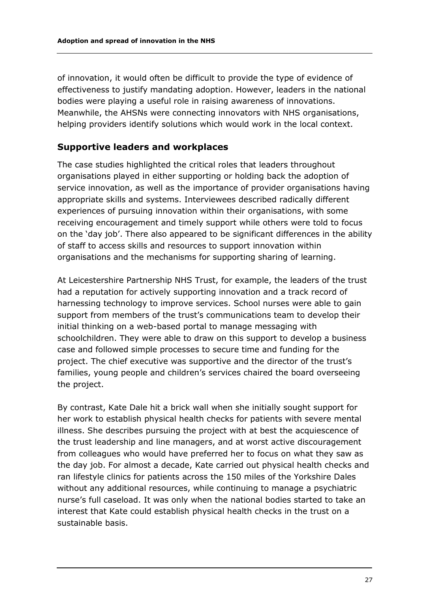of innovation, it would often be difficult to provide the type of evidence of effectiveness to justify mandating adoption. However, leaders in the national bodies were playing a useful role in raising awareness of innovations. Meanwhile, the AHSNs were connecting innovators with NHS organisations, helping providers identify solutions which would work in the local context.

#### **Supportive leaders and workplaces**

The case studies highlighted the critical roles that leaders throughout organisations played in either supporting or holding back the adoption of service innovation, as well as the importance of provider organisations having appropriate skills and systems. Interviewees described radically different experiences of pursuing innovation within their organisations, with some receiving encouragement and timely support while others were told to focus on the 'day job'. There also appeared to be significant differences in the ability of staff to access skills and resources to support innovation within organisations and the mechanisms for supporting sharing of learning.

At Leicestershire Partnership NHS Trust, for example, the leaders of the trust had a reputation for actively supporting innovation and a track record of harnessing technology to improve services. School nurses were able to gain support from members of the trust's communications team to develop their initial thinking on a web-based portal to manage messaging with schoolchildren. They were able to draw on this support to develop a business case and followed simple processes to secure time and funding for the project. The chief executive was supportive and the director of the trust's families, young people and children's services chaired the board overseeing the project.

By contrast, Kate Dale hit a brick wall when she initially sought support for her work to establish physical health checks for patients with severe mental illness. She describes pursuing the project with at best the acquiescence of the trust leadership and line managers, and at worst active discouragement from colleagues who would have preferred her to focus on what they saw as the day job. For almost a decade, Kate carried out physical health checks and ran lifestyle clinics for patients across the 150 miles of the Yorkshire Dales without any additional resources, while continuing to manage a psychiatric nurse's full caseload. It was only when the national bodies started to take an interest that Kate could establish physical health checks in the trust on a sustainable basis.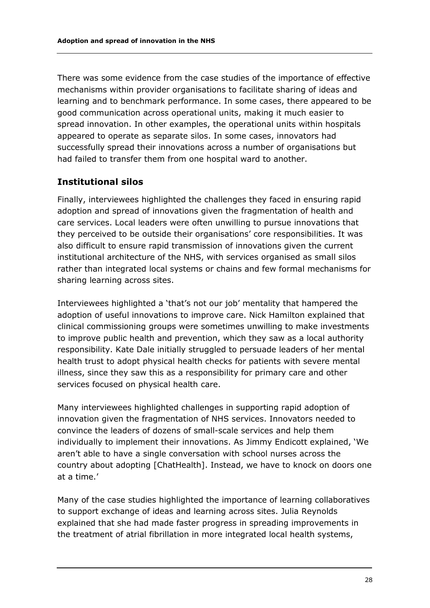There was some evidence from the case studies of the importance of effective mechanisms within provider organisations to facilitate sharing of ideas and learning and to benchmark performance. In some cases, there appeared to be good communication across operational units, making it much easier to spread innovation. In other examples, the operational units within hospitals appeared to operate as separate silos. In some cases, innovators had successfully spread their innovations across a number of organisations but had failed to transfer them from one hospital ward to another.

#### **Institutional silos**

Finally, interviewees highlighted the challenges they faced in ensuring rapid adoption and spread of innovations given the fragmentation of health and care services. Local leaders were often unwilling to pursue innovations that they perceived to be outside their organisations' core responsibilities. It was also difficult to ensure rapid transmission of innovations given the current institutional architecture of the NHS, with services organised as small silos rather than integrated local systems or chains and few formal mechanisms for sharing learning across sites.

Interviewees highlighted a 'that's not our job' mentality that hampered the adoption of useful innovations to improve care. Nick Hamilton explained that clinical commissioning groups were sometimes unwilling to make investments to improve public health and prevention, which they saw as a local authority responsibility. Kate Dale initially struggled to persuade leaders of her mental health trust to adopt physical health checks for patients with severe mental illness, since they saw this as a responsibility for primary care and other services focused on physical health care.

Many interviewees highlighted challenges in supporting rapid adoption of innovation given the fragmentation of NHS services. Innovators needed to convince the leaders of dozens of small-scale services and help them individually to implement their innovations. As Jimmy Endicott explained, 'We aren't able to have a single conversation with school nurses across the country about adopting [ChatHealth]. Instead, we have to knock on doors one at a time.'

Many of the case studies highlighted the importance of learning collaboratives to support exchange of ideas and learning across sites. Julia Reynolds explained that she had made faster progress in spreading improvements in the treatment of atrial fibrillation in more integrated local health systems,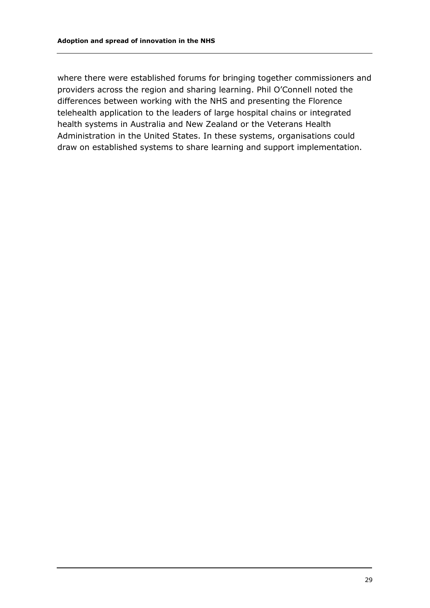where there were established forums for bringing together commissioners and providers across the region and sharing learning. Phil O'Connell noted the differences between working with the NHS and presenting the Florence telehealth application to the leaders of large hospital chains or integrated health systems in Australia and New Zealand or the Veterans Health Administration in the United States. In these systems, organisations could draw on established systems to share learning and support implementation.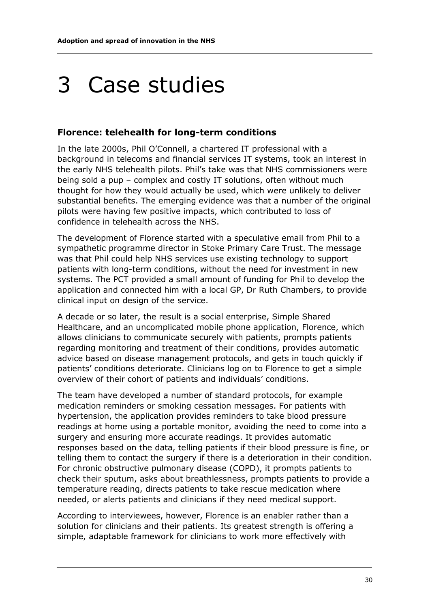## 3 Case studies

#### **Florence: telehealth for long-term conditions**

In the late 2000s, Phil O'Connell, a chartered IT professional with a background in telecoms and financial services IT systems, took an interest in the early NHS telehealth pilots. Phil's take was that NHS commissioners were being sold a pup – complex and costly IT solutions, often without much thought for how they would actually be used, which were unlikely to deliver substantial benefits. The emerging evidence was that a number of the original pilots were having few positive impacts, which contributed to loss of confidence in telehealth across the NHS.

The development of Florence started with a speculative email from Phil to a sympathetic programme director in Stoke Primary Care Trust. The message was that Phil could help NHS services use existing technology to support patients with long-term conditions, without the need for investment in new systems. The PCT provided a small amount of funding for Phil to develop the application and connected him with a local GP, Dr Ruth Chambers, to provide clinical input on design of the service.

A decade or so later, the result is a social enterprise, Simple Shared Healthcare, and an uncomplicated mobile phone application, Florence, which allows clinicians to communicate securely with patients, prompts patients regarding monitoring and treatment of their conditions, provides automatic advice based on disease management protocols, and gets in touch quickly if patients' conditions deteriorate. Clinicians log on to Florence to get a simple overview of their cohort of patients and individuals' conditions.

The team have developed a number of standard protocols, for example medication reminders or smoking cessation messages. For patients with hypertension, the application provides reminders to take blood pressure readings at home using a portable monitor, avoiding the need to come into a surgery and ensuring more accurate readings. It provides automatic responses based on the data, telling patients if their blood pressure is fine, or telling them to contact the surgery if there is a deterioration in their condition. For chronic obstructive pulmonary disease (COPD), it prompts patients to check their sputum, asks about breathlessness, prompts patients to provide a temperature reading, directs patients to take rescue medication where needed, or alerts patients and clinicians if they need medical support.

According to interviewees, however, Florence is an enabler rather than a solution for clinicians and their patients. Its greatest strength is offering a simple, adaptable framework for clinicians to work more effectively with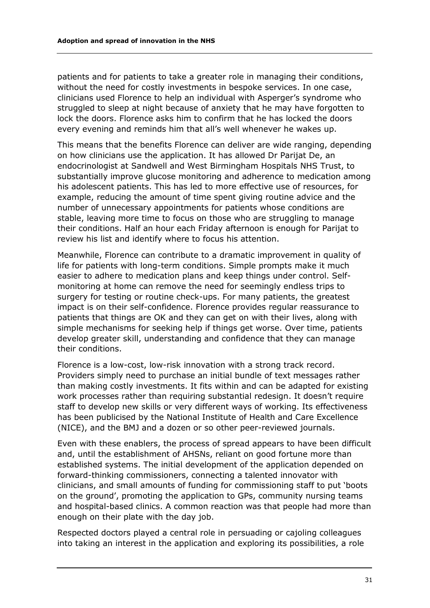patients and for patients to take a greater role in managing their conditions, without the need for costly investments in bespoke services. In one case, clinicians used Florence to help an individual with Asperger's syndrome who struggled to sleep at night because of anxiety that he may have forgotten to lock the doors. Florence asks him to confirm that he has locked the doors every evening and reminds him that all's well whenever he wakes up.

This means that the benefits Florence can deliver are wide ranging, depending on how clinicians use the application. It has allowed Dr Parijat De, an endocrinologist at Sandwell and West Birmingham Hospitals NHS Trust, to substantially improve glucose monitoring and adherence to medication among his adolescent patients. This has led to more effective use of resources, for example, reducing the amount of time spent giving routine advice and the number of unnecessary appointments for patients whose conditions are stable, leaving more time to focus on those who are struggling to manage their conditions. Half an hour each Friday afternoon is enough for Parijat to review his list and identify where to focus his attention.

Meanwhile, Florence can contribute to a dramatic improvement in quality of life for patients with long-term conditions. Simple prompts make it much easier to adhere to medication plans and keep things under control. Selfmonitoring at home can remove the need for seemingly endless trips to surgery for testing or routine check-ups. For many patients, the greatest impact is on their self-confidence. Florence provides regular reassurance to patients that things are OK and they can get on with their lives, along with simple mechanisms for seeking help if things get worse. Over time, patients develop greater skill, understanding and confidence that they can manage their conditions.

Florence is a low-cost, low-risk innovation with a strong track record. Providers simply need to purchase an initial bundle of text messages rather than making costly investments. It fits within and can be adapted for existing work processes rather than requiring substantial redesign. It doesn't require staff to develop new skills or very different ways of working. Its effectiveness has been publicised by the National Institute of Health and Care Excellence (NICE), and the BMJ and a dozen or so other peer-reviewed journals.

Even with these enablers, the process of spread appears to have been difficult and, until the establishment of AHSNs, reliant on good fortune more than established systems. The initial development of the application depended on forward-thinking commissioners, connecting a talented innovator with clinicians, and small amounts of funding for commissioning staff to put 'boots on the ground', promoting the application to GPs, community nursing teams and hospital-based clinics. A common reaction was that people had more than enough on their plate with the day job.

Respected doctors played a central role in persuading or cajoling colleagues into taking an interest in the application and exploring its possibilities, a role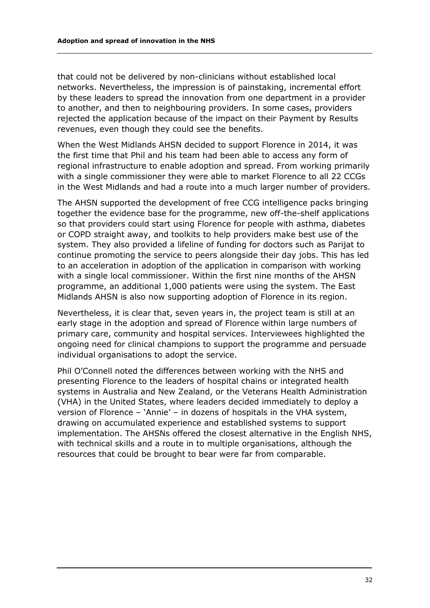that could not be delivered by non-clinicians without established local networks. Nevertheless, the impression is of painstaking, incremental effort by these leaders to spread the innovation from one department in a provider to another, and then to neighbouring providers. In some cases, providers rejected the application because of the impact on their Payment by Results revenues, even though they could see the benefits.

When the West Midlands AHSN decided to support Florence in 2014, it was the first time that Phil and his team had been able to access any form of regional infrastructure to enable adoption and spread. From working primarily with a single commissioner they were able to market Florence to all 22 CCGs in the West Midlands and had a route into a much larger number of providers.

The AHSN supported the development of free CCG intelligence packs bringing together the evidence base for the programme, new off-the-shelf applications so that providers could start using Florence for people with asthma, diabetes or COPD straight away, and toolkits to help providers make best use of the system. They also provided a lifeline of funding for doctors such as Parijat to continue promoting the service to peers alongside their day jobs. This has led to an acceleration in adoption of the application in comparison with working with a single local commissioner. Within the first nine months of the AHSN programme, an additional 1,000 patients were using the system. The East Midlands AHSN is also now supporting adoption of Florence in its region.

Nevertheless, it is clear that, seven years in, the project team is still at an early stage in the adoption and spread of Florence within large numbers of primary care, community and hospital services. Interviewees highlighted the ongoing need for clinical champions to support the programme and persuade individual organisations to adopt the service.

Phil O'Connell noted the differences between working with the NHS and presenting Florence to the leaders of hospital chains or integrated health systems in Australia and New Zealand, or the Veterans Health Administration (VHA) in the United States, where leaders decided immediately to deploy a version of Florence – 'Annie' – in dozens of hospitals in the VHA system, drawing on accumulated experience and established systems to support implementation. The AHSNs offered the closest alternative in the English NHS, with technical skills and a route in to multiple organisations, although the resources that could be brought to bear were far from comparable.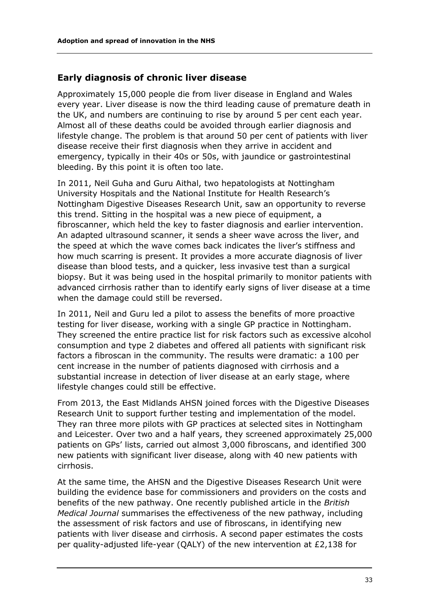#### **Early diagnosis of chronic liver disease**

Approximately 15,000 people die from liver disease in England and Wales every year. Liver disease is now the third leading cause of premature death in the UK, and numbers are continuing to rise by around 5 per cent each year. Almost all of these deaths could be avoided through earlier diagnosis and lifestyle change. The problem is that around 50 per cent of patients with liver disease receive their first diagnosis when they arrive in accident and emergency, typically in their 40s or 50s, with jaundice or gastrointestinal bleeding. By this point it is often too late.

In 2011, Neil Guha and Guru Aithal, two hepatologists at Nottingham University Hospitals and the National Institute for Health Research's Nottingham Digestive Diseases Research Unit, saw an opportunity to reverse this trend. Sitting in the hospital was a new piece of equipment, a fibroscanner, which held the key to faster diagnosis and earlier intervention. An adapted ultrasound scanner, it sends a sheer wave across the liver, and the speed at which the wave comes back indicates the liver's stiffness and how much scarring is present. It provides a more accurate diagnosis of liver disease than blood tests, and a quicker, less invasive test than a surgical biopsy. But it was being used in the hospital primarily to monitor patients with advanced cirrhosis rather than to identify early signs of liver disease at a time when the damage could still be reversed.

In 2011, Neil and Guru led a pilot to assess the benefits of more proactive testing for liver disease, working with a single GP practice in Nottingham. They screened the entire practice list for risk factors such as excessive alcohol consumption and type 2 diabetes and offered all patients with significant risk factors a fibroscan in the community. The results were dramatic: a 100 per cent increase in the number of patients diagnosed with cirrhosis and a substantial increase in detection of liver disease at an early stage, where lifestyle changes could still be effective.

From 2013, the East Midlands AHSN joined forces with the Digestive Diseases Research Unit to support further testing and implementation of the model. They ran three more pilots with GP practices at selected sites in Nottingham and Leicester. Over two and a half years, they screened approximately 25,000 patients on GPs' lists, carried out almost 3,000 fibroscans, and identified 300 new patients with significant liver disease, along with 40 new patients with cirrhosis.

At the same time, the AHSN and the Digestive Diseases Research Unit were building the evidence base for commissioners and providers on the costs and benefits of the new pathway. One recently published article in the *British Medical Journal* summarises the effectiveness of the new pathway, including the assessment of risk factors and use of fibroscans, in identifying new patients with liver disease and cirrhosis. A second paper estimates the costs per quality-adjusted life-year (QALY) of the new intervention at £2,138 for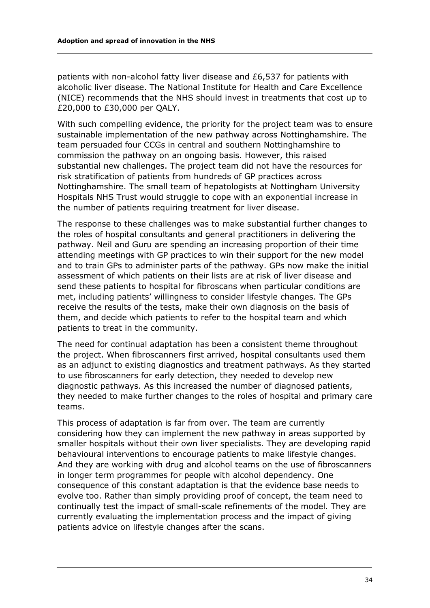patients with non-alcohol fatty liver disease and £6,537 for patients with alcoholic liver disease. The National Institute for Health and Care Excellence (NICE) recommends that the NHS should invest in treatments that cost up to £20,000 to £30,000 per QALY.

With such compelling evidence, the priority for the project team was to ensure sustainable implementation of the new pathway across Nottinghamshire. The team persuaded four CCGs in central and southern Nottinghamshire to commission the pathway on an ongoing basis. However, this raised substantial new challenges. The project team did not have the resources for risk stratification of patients from hundreds of GP practices across Nottinghamshire. The small team of hepatologists at Nottingham University Hospitals NHS Trust would struggle to cope with an exponential increase in the number of patients requiring treatment for liver disease.

The response to these challenges was to make substantial further changes to the roles of hospital consultants and general practitioners in delivering the pathway. Neil and Guru are spending an increasing proportion of their time attending meetings with GP practices to win their support for the new model and to train GPs to administer parts of the pathway. GPs now make the initial assessment of which patients on their lists are at risk of liver disease and send these patients to hospital for fibroscans when particular conditions are met, including patients' willingness to consider lifestyle changes. The GPs receive the results of the tests, make their own diagnosis on the basis of them, and decide which patients to refer to the hospital team and which patients to treat in the community.

The need for continual adaptation has been a consistent theme throughout the project. When fibroscanners first arrived, hospital consultants used them as an adjunct to existing diagnostics and treatment pathways. As they started to use fibroscanners for early detection, they needed to develop new diagnostic pathways. As this increased the number of diagnosed patients, they needed to make further changes to the roles of hospital and primary care teams.

This process of adaptation is far from over. The team are currently considering how they can implement the new pathway in areas supported by smaller hospitals without their own liver specialists. They are developing rapid behavioural interventions to encourage patients to make lifestyle changes. And they are working with drug and alcohol teams on the use of fibroscanners in longer term programmes for people with alcohol dependency. One consequence of this constant adaptation is that the evidence base needs to evolve too. Rather than simply providing proof of concept, the team need to continually test the impact of small-scale refinements of the model. They are currently evaluating the implementation process and the impact of giving patients advice on lifestyle changes after the scans.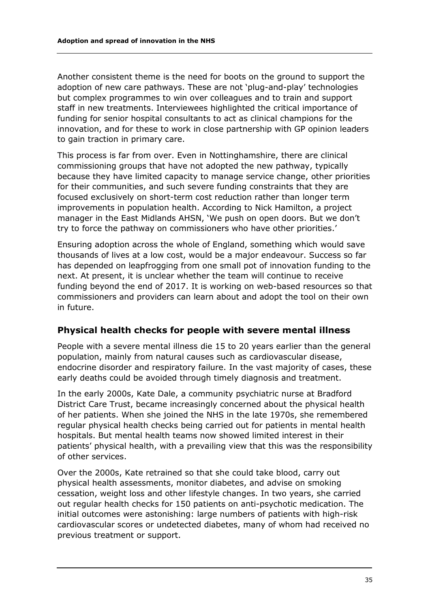Another consistent theme is the need for boots on the ground to support the adoption of new care pathways. These are not 'plug-and-play' technologies but complex programmes to win over colleagues and to train and support staff in new treatments. Interviewees highlighted the critical importance of funding for senior hospital consultants to act as clinical champions for the innovation, and for these to work in close partnership with GP opinion leaders to gain traction in primary care.

This process is far from over. Even in Nottinghamshire, there are clinical commissioning groups that have not adopted the new pathway, typically because they have limited capacity to manage service change, other priorities for their communities, and such severe funding constraints that they are focused exclusively on short-term cost reduction rather than longer term improvements in population health. According to Nick Hamilton, a project manager in the East Midlands AHSN, 'We push on open doors. But we don't try to force the pathway on commissioners who have other priorities.'

Ensuring adoption across the whole of England, something which would save thousands of lives at a low cost, would be a major endeavour. Success so far has depended on leapfrogging from one small pot of innovation funding to the next. At present, it is unclear whether the team will continue to receive funding beyond the end of 2017. It is working on web-based resources so that commissioners and providers can learn about and adopt the tool on their own in future.

#### **Physical health checks for people with severe mental illness**

People with a severe mental illness die 15 to 20 years earlier than the general population, mainly from natural causes such as cardiovascular disease, endocrine disorder and respiratory failure. In the vast majority of cases, these early deaths could be avoided through timely diagnosis and treatment.

In the early 2000s, Kate Dale, a community psychiatric nurse at Bradford District Care Trust, became increasingly concerned about the physical health of her patients. When she joined the NHS in the late 1970s, she remembered regular physical health checks being carried out for patients in mental health hospitals. But mental health teams now showed limited interest in their patients' physical health, with a prevailing view that this was the responsibility of other services.

Over the 2000s, Kate retrained so that she could take blood, carry out physical health assessments, monitor diabetes, and advise on smoking cessation, weight loss and other lifestyle changes. In two years, she carried out regular health checks for 150 patients on anti-psychotic medication. The initial outcomes were astonishing: large numbers of patients with high-risk cardiovascular scores or undetected diabetes, many of whom had received no previous treatment or support.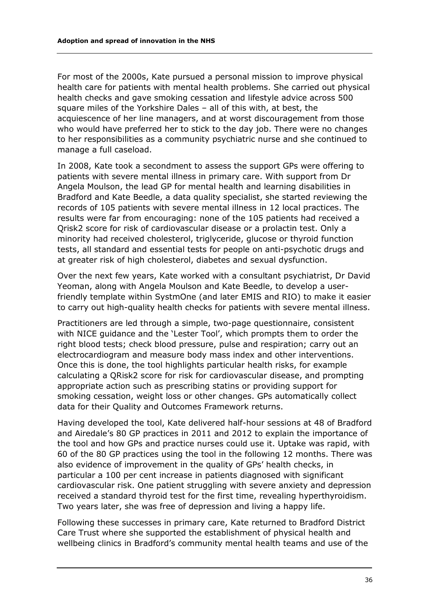For most of the 2000s, Kate pursued a personal mission to improve physical health care for patients with mental health problems. She carried out physical health checks and gave smoking cessation and lifestyle advice across 500 square miles of the Yorkshire Dales – all of this with, at best, the acquiescence of her line managers, and at worst discouragement from those who would have preferred her to stick to the day job. There were no changes to her responsibilities as a community psychiatric nurse and she continued to manage a full caseload.

In 2008, Kate took a secondment to assess the support GPs were offering to patients with severe mental illness in primary care. With support from Dr Angela Moulson, the lead GP for mental health and learning disabilities in Bradford and Kate Beedle, a data quality specialist, she started reviewing the records of 105 patients with severe mental illness in 12 local practices. The results were far from encouraging: none of the 105 patients had received a Qrisk2 score for risk of cardiovascular disease or a prolactin test. Only a minority had received cholesterol, triglyceride, glucose or thyroid function tests, all standard and essential tests for people on anti-psychotic drugs and at greater risk of high cholesterol, diabetes and sexual dysfunction.

Over the next few years, Kate worked with a consultant psychiatrist, Dr David Yeoman, along with Angela Moulson and Kate Beedle, to develop a userfriendly template within SystmOne (and later EMIS and RIO) to make it easier to carry out high-quality health checks for patients with severe mental illness.

Practitioners are led through a simple, two-page questionnaire, consistent with NICE guidance and the 'Lester Tool', which prompts them to order the right blood tests; check blood pressure, pulse and respiration; carry out an electrocardiogram and measure body mass index and other interventions. Once this is done, the tool highlights particular health risks, for example calculating a QRisk2 score for risk for cardiovascular disease, and prompting appropriate action such as prescribing statins or providing support for smoking cessation, weight loss or other changes. GPs automatically collect data for their Quality and Outcomes Framework returns.

Having developed the tool, Kate delivered half-hour sessions at 48 of Bradford and Airedale's 80 GP practices in 2011 and 2012 to explain the importance of the tool and how GPs and practice nurses could use it. Uptake was rapid, with 60 of the 80 GP practices using the tool in the following 12 months. There was also evidence of improvement in the quality of GPs' health checks, in particular a 100 per cent increase in patients diagnosed with significant cardiovascular risk. One patient struggling with severe anxiety and depression received a standard thyroid test for the first time, revealing hyperthyroidism. Two years later, she was free of depression and living a happy life.

Following these successes in primary care, Kate returned to Bradford District Care Trust where she supported the establishment of physical health and wellbeing clinics in Bradford's community mental health teams and use of the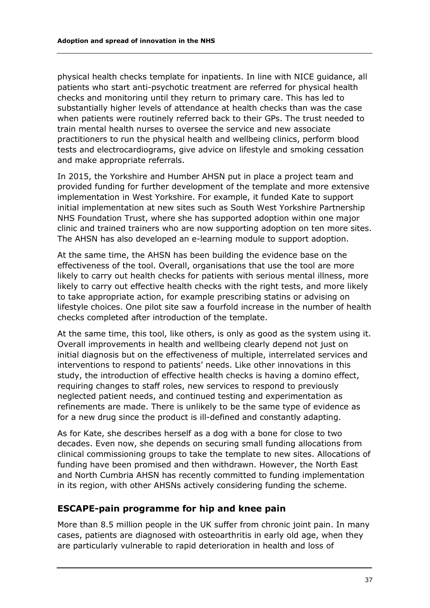physical health checks template for inpatients. In line with NICE guidance, all patients who start anti-psychotic treatment are referred for physical health checks and monitoring until they return to primary care. This has led to substantially higher levels of attendance at health checks than was the case when patients were routinely referred back to their GPs. The trust needed to train mental health nurses to oversee the service and new associate practitioners to run the physical health and wellbeing clinics, perform blood tests and electrocardiograms, give advice on lifestyle and smoking cessation and make appropriate referrals.

In 2015, the Yorkshire and Humber AHSN put in place a project team and provided funding for further development of the template and more extensive implementation in West Yorkshire. For example, it funded Kate to support initial implementation at new sites such as South West Yorkshire Partnership NHS Foundation Trust, where she has supported adoption within one major clinic and trained trainers who are now supporting adoption on ten more sites. The AHSN has also developed an e-learning module to support adoption.

At the same time, the AHSN has been building the evidence base on the effectiveness of the tool. Overall, organisations that use the tool are more likely to carry out health checks for patients with serious mental illness, more likely to carry out effective health checks with the right tests, and more likely to take appropriate action, for example prescribing statins or advising on lifestyle choices. One pilot site saw a fourfold increase in the number of health checks completed after introduction of the template.

At the same time, this tool, like others, is only as good as the system using it. Overall improvements in health and wellbeing clearly depend not just on initial diagnosis but on the effectiveness of multiple, interrelated services and interventions to respond to patients' needs. Like other innovations in this study, the introduction of effective health checks is having a domino effect, requiring changes to staff roles, new services to respond to previously neglected patient needs, and continued testing and experimentation as refinements are made. There is unlikely to be the same type of evidence as for a new drug since the product is ill-defined and constantly adapting.

As for Kate, she describes herself as a dog with a bone for close to two decades. Even now, she depends on securing small funding allocations from clinical commissioning groups to take the template to new sites. Allocations of funding have been promised and then withdrawn. However, the North East and North Cumbria AHSN has recently committed to funding implementation in its region, with other AHSNs actively considering funding the scheme.

#### **ESCAPE-pain programme for hip and knee pain**

More than 8.5 million people in the UK suffer from chronic joint pain. In many cases, patients are diagnosed with osteoarthritis in early old age, when they are particularly vulnerable to rapid deterioration in health and loss of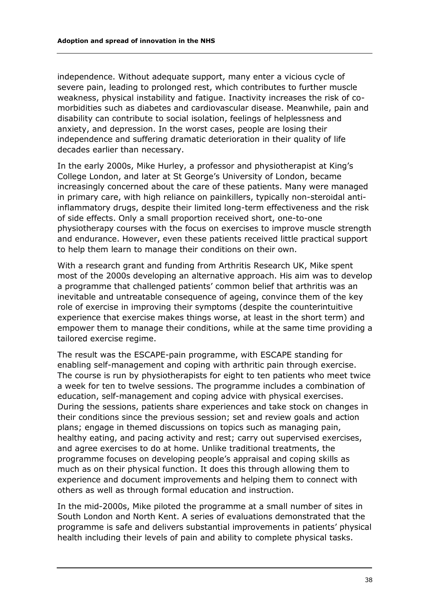independence. Without adequate support, many enter a vicious cycle of severe pain, leading to prolonged rest, which contributes to further muscle weakness, physical instability and fatigue. Inactivity increases the risk of comorbidities such as diabetes and cardiovascular disease. Meanwhile, pain and disability can contribute to social isolation, feelings of helplessness and anxiety, and depression. In the worst cases, people are losing their independence and suffering dramatic deterioration in their quality of life decades earlier than necessary.

In the early 2000s, Mike Hurley, a professor and physiotherapist at King's College London, and later at St George's University of London, became increasingly concerned about the care of these patients. Many were managed in primary care, with high reliance on painkillers, typically non-steroidal antiinflammatory drugs, despite their limited long-term effectiveness and the risk of side effects. Only a small proportion received short, one-to-one physiotherapy courses with the focus on exercises to improve muscle strength and endurance. However, even these patients received little practical support to help them learn to manage their conditions on their own.

With a research grant and funding from Arthritis Research UK, Mike spent most of the 2000s developing an alternative approach. His aim was to develop a programme that challenged patients' common belief that arthritis was an inevitable and untreatable consequence of ageing, convince them of the key role of exercise in improving their symptoms (despite the counterintuitive experience that exercise makes things worse, at least in the short term) and empower them to manage their conditions, while at the same time providing a tailored exercise regime.

The result was the ESCAPE-pain programme, with ESCAPE standing for enabling self-management and coping with arthritic pain through exercise. The course is run by physiotherapists for eight to ten patients who meet twice a week for ten to twelve sessions. The programme includes a combination of education, self-management and coping advice with physical exercises. During the sessions, patients share experiences and take stock on changes in their conditions since the previous session; set and review goals and action plans; engage in themed discussions on topics such as managing pain, healthy eating, and pacing activity and rest; carry out supervised exercises, and agree exercises to do at home. Unlike traditional treatments, the programme focuses on developing people's appraisal and coping skills as much as on their physical function. It does this through allowing them to experience and document improvements and helping them to connect with others as well as through formal education and instruction.

In the mid-2000s, Mike piloted the programme at a small number of sites in South London and North Kent. A series of evaluations demonstrated that the programme is safe and delivers substantial improvements in patients' physical health including their levels of pain and ability to complete physical tasks.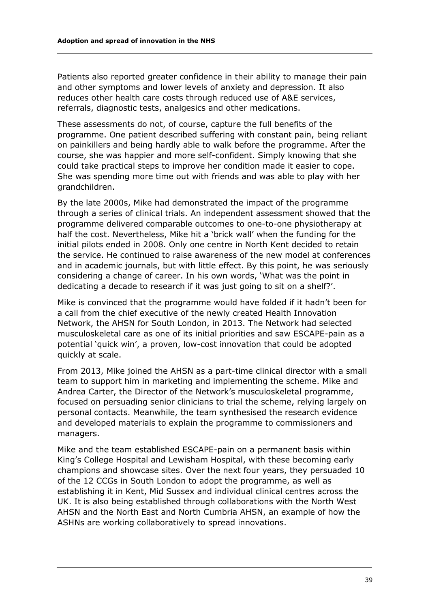Patients also reported greater confidence in their ability to manage their pain and other symptoms and lower levels of anxiety and depression. It also reduces other health care costs through reduced use of A&E services, referrals, diagnostic tests, analgesics and other medications.

These assessments do not, of course, capture the full benefits of the programme. One patient described suffering with constant pain, being reliant on painkillers and being hardly able to walk before the programme. After the course, she was happier and more self-confident. Simply knowing that she could take practical steps to improve her condition made it easier to cope. She was spending more time out with friends and was able to play with her grandchildren.

By the late 2000s, Mike had demonstrated the impact of the programme through a series of clinical trials. An independent assessment showed that the programme delivered comparable outcomes to one-to-one physiotherapy at half the cost. Nevertheless, Mike hit a 'brick wall' when the funding for the initial pilots ended in 2008. Only one centre in North Kent decided to retain the service. He continued to raise awareness of the new model at conferences and in academic journals, but with little effect. By this point, he was seriously considering a change of career. In his own words, 'What was the point in dedicating a decade to research if it was just going to sit on a shelf?'.

Mike is convinced that the programme would have folded if it hadn't been for a call from the chief executive of the newly created Health Innovation Network, the AHSN for South London, in 2013. The Network had selected musculoskeletal care as one of its initial priorities and saw ESCAPE-pain as a potential 'quick win', a proven, low-cost innovation that could be adopted quickly at scale.

From 2013, Mike joined the AHSN as a part-time clinical director with a small team to support him in marketing and implementing the scheme. Mike and Andrea Carter, the Director of the Network's musculoskeletal programme, focused on persuading senior clinicians to trial the scheme, relying largely on personal contacts. Meanwhile, the team synthesised the research evidence and developed materials to explain the programme to commissioners and managers.

Mike and the team established ESCAPE-pain on a permanent basis within King's College Hospital and Lewisham Hospital, with these becoming early champions and showcase sites. Over the next four years, they persuaded 10 of the 12 CCGs in South London to adopt the programme, as well as establishing it in Kent, Mid Sussex and individual clinical centres across the UK. It is also being established through collaborations with the North West AHSN and the North East and North Cumbria AHSN, an example of how the ASHNs are working collaboratively to spread innovations.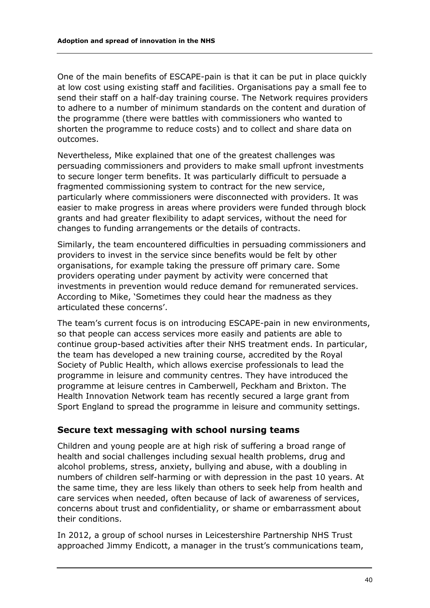One of the main benefits of ESCAPE-pain is that it can be put in place quickly at low cost using existing staff and facilities. Organisations pay a small fee to send their staff on a half-day training course. The Network requires providers to adhere to a number of minimum standards on the content and duration of the programme (there were battles with commissioners who wanted to shorten the programme to reduce costs) and to collect and share data on outcomes.

Nevertheless, Mike explained that one of the greatest challenges was persuading commissioners and providers to make small upfront investments to secure longer term benefits. It was particularly difficult to persuade a fragmented commissioning system to contract for the new service, particularly where commissioners were disconnected with providers. It was easier to make progress in areas where providers were funded through block grants and had greater flexibility to adapt services, without the need for changes to funding arrangements or the details of contracts.

Similarly, the team encountered difficulties in persuading commissioners and providers to invest in the service since benefits would be felt by other organisations, for example taking the pressure off primary care. Some providers operating under payment by activity were concerned that investments in prevention would reduce demand for remunerated services. According to Mike, 'Sometimes they could hear the madness as they articulated these concerns'.

The team's current focus is on introducing ESCAPE-pain in new environments, so that people can access services more easily and patients are able to continue group-based activities after their NHS treatment ends. In particular, the team has developed a new training course, accredited by the Royal Society of Public Health, which allows exercise professionals to lead the programme in leisure and community centres. They have introduced the programme at leisure centres in Camberwell, Peckham and Brixton. The Health Innovation Network team has recently secured a large grant from Sport England to spread the programme in leisure and community settings.

#### **Secure text messaging with school nursing teams**

Children and young people are at high risk of suffering a broad range of health and social challenges including sexual health problems, drug and alcohol problems, stress, anxiety, bullying and abuse, with a doubling in numbers of children self-harming or with depression in the past 10 years. At the same time, they are less likely than others to seek help from health and care services when needed, often because of lack of awareness of services, concerns about trust and confidentiality, or shame or embarrassment about their conditions.

In 2012, a group of school nurses in Leicestershire Partnership NHS Trust approached Jimmy Endicott, a manager in the trust's communications team,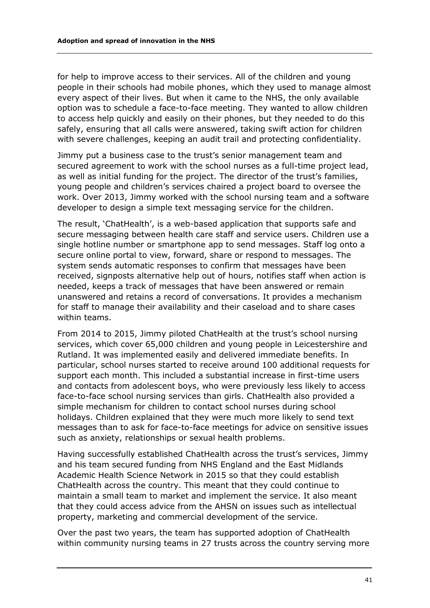for help to improve access to their services. All of the children and young people in their schools had mobile phones, which they used to manage almost every aspect of their lives. But when it came to the NHS, the only available option was to schedule a face-to-face meeting. They wanted to allow children to access help quickly and easily on their phones, but they needed to do this safely, ensuring that all calls were answered, taking swift action for children with severe challenges, keeping an audit trail and protecting confidentiality.

Jimmy put a business case to the trust's senior management team and secured agreement to work with the school nurses as a full-time project lead, as well as initial funding for the project. The director of the trust's families, young people and children's services chaired a project board to oversee the work. Over 2013, Jimmy worked with the school nursing team and a software developer to design a simple text messaging service for the children.

The result, 'ChatHealth', is a web-based application that supports safe and secure messaging between health care staff and service users. Children use a single hotline number or smartphone app to send messages. Staff log onto a secure online portal to view, forward, share or respond to messages. The system sends automatic responses to confirm that messages have been received, signposts alternative help out of hours, notifies staff when action is needed, keeps a track of messages that have been answered or remain unanswered and retains a record of conversations. It provides a mechanism for staff to manage their availability and their caseload and to share cases within teams.

From 2014 to 2015, Jimmy piloted ChatHealth at the trust's school nursing services, which cover 65,000 children and young people in Leicestershire and Rutland. It was implemented easily and delivered immediate benefits. In particular, school nurses started to receive around 100 additional requests for support each month. This included a substantial increase in first-time users and contacts from adolescent boys, who were previously less likely to access face-to-face school nursing services than girls. ChatHealth also provided a simple mechanism for children to contact school nurses during school holidays. Children explained that they were much more likely to send text messages than to ask for face-to-face meetings for advice on sensitive issues such as anxiety, relationships or sexual health problems.

Having successfully established ChatHealth across the trust's services, Jimmy and his team secured funding from NHS England and the East Midlands Academic Health Science Network in 2015 so that they could establish ChatHealth across the country. This meant that they could continue to maintain a small team to market and implement the service. It also meant that they could access advice from the AHSN on issues such as intellectual property, marketing and commercial development of the service.

Over the past two years, the team has supported adoption of ChatHealth within community nursing teams in 27 trusts across the country serving more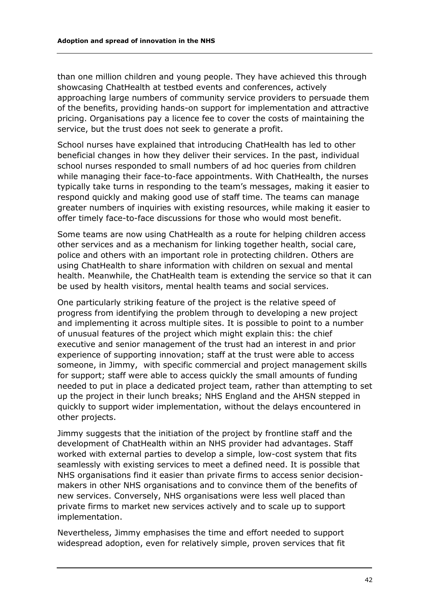than one million children and young people. They have achieved this through showcasing ChatHealth at testbed events and conferences, actively approaching large numbers of community service providers to persuade them of the benefits, providing hands-on support for implementation and attractive pricing. Organisations pay a licence fee to cover the costs of maintaining the service, but the trust does not seek to generate a profit.

School nurses have explained that introducing ChatHealth has led to other beneficial changes in how they deliver their services. In the past, individual school nurses responded to small numbers of ad hoc queries from children while managing their face-to-face appointments. With ChatHealth, the nurses typically take turns in responding to the team's messages, making it easier to respond quickly and making good use of staff time. The teams can manage greater numbers of inquiries with existing resources, while making it easier to offer timely face-to-face discussions for those who would most benefit.

Some teams are now using ChatHealth as a route for helping children access other services and as a mechanism for linking together health, social care, police and others with an important role in protecting children. Others are using ChatHealth to share information with children on sexual and mental health. Meanwhile, the ChatHealth team is extending the service so that it can be used by health visitors, mental health teams and social services.

One particularly striking feature of the project is the relative speed of progress from identifying the problem through to developing a new project and implementing it across multiple sites. It is possible to point to a number of unusual features of the project which might explain this: the chief executive and senior management of the trust had an interest in and prior experience of supporting innovation; staff at the trust were able to access someone, in Jimmy, with specific commercial and project management skills for support; staff were able to access quickly the small amounts of funding needed to put in place a dedicated project team, rather than attempting to set up the project in their lunch breaks; NHS England and the AHSN stepped in quickly to support wider implementation, without the delays encountered in other projects.

Jimmy suggests that the initiation of the project by frontline staff and the development of ChatHealth within an NHS provider had advantages. Staff worked with external parties to develop a simple, low-cost system that fits seamlessly with existing services to meet a defined need. It is possible that NHS organisations find it easier than private firms to access senior decisionmakers in other NHS organisations and to convince them of the benefits of new services. Conversely, NHS organisations were less well placed than private firms to market new services actively and to scale up to support implementation.

Nevertheless, Jimmy emphasises the time and effort needed to support widespread adoption, even for relatively simple, proven services that fit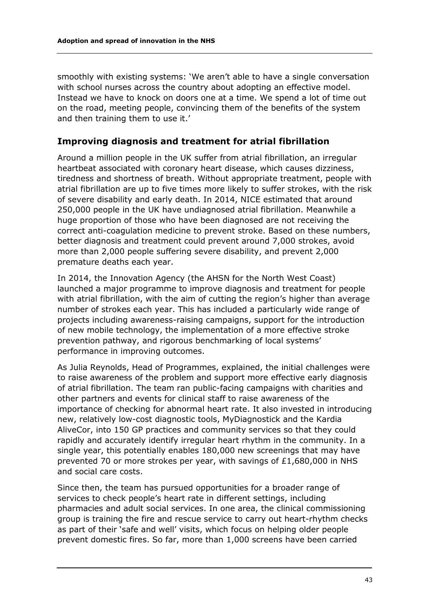smoothly with existing systems: 'We aren't able to have a single conversation with school nurses across the country about adopting an effective model. Instead we have to knock on doors one at a time. We spend a lot of time out on the road, meeting people, convincing them of the benefits of the system and then training them to use it.'

#### **Improving diagnosis and treatment for atrial fibrillation**

Around a million people in the UK suffer from atrial fibrillation, an irregular heartbeat associated with coronary heart disease, which causes dizziness, tiredness and shortness of breath. Without appropriate treatment, people with atrial fibrillation are up to five times more likely to suffer strokes, with the risk of severe disability and early death. In 2014, NICE estimated that around 250,000 people in the UK have undiagnosed atrial fibrillation. Meanwhile a huge proportion of those who have been diagnosed are not receiving the correct anti-coagulation medicine to prevent stroke. Based on these numbers, better diagnosis and treatment could prevent around 7,000 strokes, avoid more than 2,000 people suffering severe disability, and prevent 2,000 premature deaths each year.

In 2014, the Innovation Agency (the AHSN for the North West Coast) launched a major programme to improve diagnosis and treatment for people with atrial fibrillation, with the aim of cutting the region's higher than average number of strokes each year. This has included a particularly wide range of projects including awareness-raising campaigns, support for the introduction of new mobile technology, the implementation of a more effective stroke prevention pathway, and rigorous benchmarking of local systems' performance in improving outcomes.

As Julia Reynolds, Head of Programmes, explained, the initial challenges were to raise awareness of the problem and support more effective early diagnosis of atrial fibrillation. The team ran public-facing campaigns with charities and other partners and events for clinical staff to raise awareness of the importance of checking for abnormal heart rate. It also invested in introducing new, relatively low-cost diagnostic tools, MyDiagnostick and the Kardia AliveCor, into 150 GP practices and community services so that they could rapidly and accurately identify irregular heart rhythm in the community. In a single year, this potentially enables 180,000 new screenings that may have prevented 70 or more strokes per year, with savings of £1,680,000 in NHS and social care costs.

Since then, the team has pursued opportunities for a broader range of services to check people's heart rate in different settings, including pharmacies and adult social services. In one area, the clinical commissioning group is training the fire and rescue service to carry out heart-rhythm checks as part of their 'safe and well' visits, which focus on helping older people prevent domestic fires. So far, more than 1,000 screens have been carried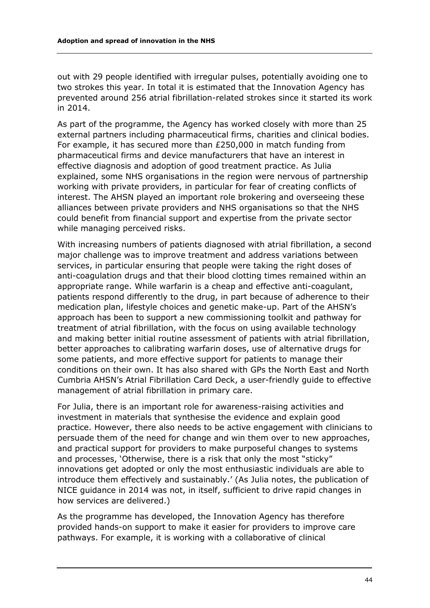out with 29 people identified with irregular pulses, potentially avoiding one to two strokes this year. In total it is estimated that the Innovation Agency has prevented around 256 atrial fibrillation-related strokes since it started its work in 2014.

As part of the programme, the Agency has worked closely with more than 25 external partners including pharmaceutical firms, charities and clinical bodies. For example, it has secured more than £250,000 in match funding from pharmaceutical firms and device manufacturers that have an interest in effective diagnosis and adoption of good treatment practice. As Julia explained, some NHS organisations in the region were nervous of partnership working with private providers, in particular for fear of creating conflicts of interest. The AHSN played an important role brokering and overseeing these alliances between private providers and NHS organisations so that the NHS could benefit from financial support and expertise from the private sector while managing perceived risks.

With increasing numbers of patients diagnosed with atrial fibrillation, a second major challenge was to improve treatment and address variations between services, in particular ensuring that people were taking the right doses of anti-coagulation drugs and that their blood clotting times remained within an appropriate range. While warfarin is a cheap and effective anti-coagulant, patients respond differently to the drug, in part because of adherence to their medication plan, lifestyle choices and genetic make-up. Part of the AHSN's approach has been to support a new commissioning toolkit and pathway for treatment of atrial fibrillation, with the focus on using available technology and making better initial routine assessment of patients with atrial fibrillation, better approaches to calibrating warfarin doses, use of alternative drugs for some patients, and more effective support for patients to manage their conditions on their own. It has also shared with GPs the North East and North Cumbria AHSN's Atrial Fibrillation Card Deck, a user-friendly guide to effective management of atrial fibrillation in primary care.

For Julia, there is an important role for awareness-raising activities and investment in materials that synthesise the evidence and explain good practice. However, there also needs to be active engagement with clinicians to persuade them of the need for change and win them over to new approaches, and practical support for providers to make purposeful changes to systems and processes, 'Otherwise, there is a risk that only the most "sticky" innovations get adopted or only the most enthusiastic individuals are able to introduce them effectively and sustainably.' (As Julia notes, the publication of NICE guidance in 2014 was not, in itself, sufficient to drive rapid changes in how services are delivered.)

As the programme has developed, the Innovation Agency has therefore provided hands-on support to make it easier for providers to improve care pathways. For example, it is working with a collaborative of clinical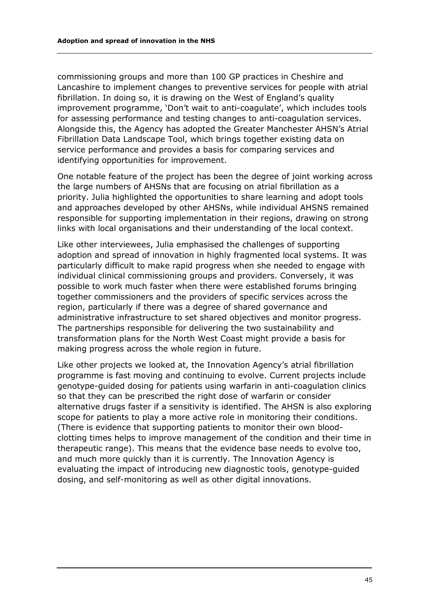commissioning groups and more than 100 GP practices in Cheshire and Lancashire to implement changes to preventive services for people with atrial fibrillation. In doing so, it is drawing on the West of England's quality improvement programme, 'Don't wait to anti-coagulate', which includes tools for assessing performance and testing changes to anti-coagulation services. Alongside this, the Agency has adopted the Greater Manchester AHSN's Atrial Fibrillation Data Landscape Tool, which brings together existing data on service performance and provides a basis for comparing services and identifying opportunities for improvement.

One notable feature of the project has been the degree of joint working across the large numbers of AHSNs that are focusing on atrial fibrillation as a priority. Julia highlighted the opportunities to share learning and adopt tools and approaches developed by other AHSNs, while individual AHSNS remained responsible for supporting implementation in their regions, drawing on strong links with local organisations and their understanding of the local context.

Like other interviewees, Julia emphasised the challenges of supporting adoption and spread of innovation in highly fragmented local systems. It was particularly difficult to make rapid progress when she needed to engage with individual clinical commissioning groups and providers. Conversely, it was possible to work much faster when there were established forums bringing together commissioners and the providers of specific services across the region, particularly if there was a degree of shared governance and administrative infrastructure to set shared objectives and monitor progress. The partnerships responsible for delivering the two sustainability and transformation plans for the North West Coast might provide a basis for making progress across the whole region in future.

Like other projects we looked at, the Innovation Agency's atrial fibrillation programme is fast moving and continuing to evolve. Current projects include genotype-guided dosing for patients using warfarin in anti-coagulation clinics so that they can be prescribed the right dose of warfarin or consider alternative drugs faster if a sensitivity is identified. The AHSN is also exploring scope for patients to play a more active role in monitoring their conditions. (There is evidence that supporting patients to monitor their own bloodclotting times helps to improve management of the condition and their time in therapeutic range). This means that the evidence base needs to evolve too, and much more quickly than it is currently. The Innovation Agency is evaluating the impact of introducing new diagnostic tools, genotype-guided dosing, and self-monitoring as well as other digital innovations.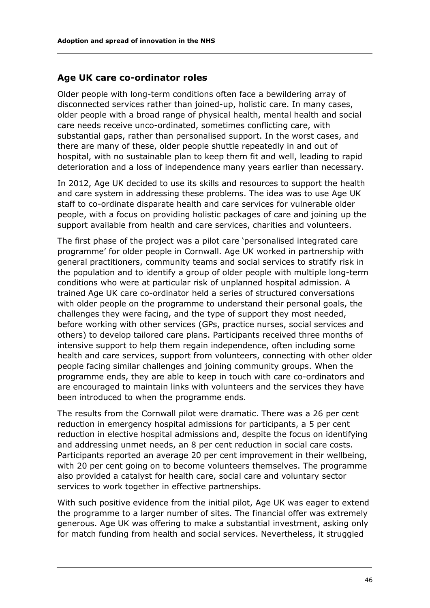#### **Age UK care co-ordinator roles**

Older people with long-term conditions often face a bewildering array of disconnected services rather than joined-up, holistic care. In many cases, older people with a broad range of physical health, mental health and social care needs receive unco-ordinated, sometimes conflicting care, with substantial gaps, rather than personalised support. In the worst cases, and there are many of these, older people shuttle repeatedly in and out of hospital, with no sustainable plan to keep them fit and well, leading to rapid deterioration and a loss of independence many years earlier than necessary.

In 2012, Age UK decided to use its skills and resources to support the health and care system in addressing these problems. The idea was to use Age UK staff to co-ordinate disparate health and care services for vulnerable older people, with a focus on providing holistic packages of care and joining up the support available from health and care services, charities and volunteers.

The first phase of the project was a pilot care 'personalised integrated care programme' for older people in Cornwall. Age UK worked in partnership with general practitioners, community teams and social services to stratify risk in the population and to identify a group of older people with multiple long-term conditions who were at particular risk of unplanned hospital admission. A trained Age UK care co-ordinator held a series of structured conversations with older people on the programme to understand their personal goals, the challenges they were facing, and the type of support they most needed, before working with other services (GPs, practice nurses, social services and others) to develop tailored care plans. Participants received three months of intensive support to help them regain independence, often including some health and care services, support from volunteers, connecting with other older people facing similar challenges and joining community groups. When the programme ends, they are able to keep in touch with care co-ordinators and are encouraged to maintain links with volunteers and the services they have been introduced to when the programme ends.

The results from the Cornwall pilot were dramatic. There was a 26 per cent reduction in emergency hospital admissions for participants, a 5 per cent reduction in elective hospital admissions and, despite the focus on identifying and addressing unmet needs, an 8 per cent reduction in social care costs. Participants reported an average 20 per cent improvement in their wellbeing, with 20 per cent going on to become volunteers themselves. The programme also provided a catalyst for health care, social care and voluntary sector services to work together in effective partnerships.

With such positive evidence from the initial pilot, Age UK was eager to extend the programme to a larger number of sites. The financial offer was extremely generous. Age UK was offering to make a substantial investment, asking only for match funding from health and social services. Nevertheless, it struggled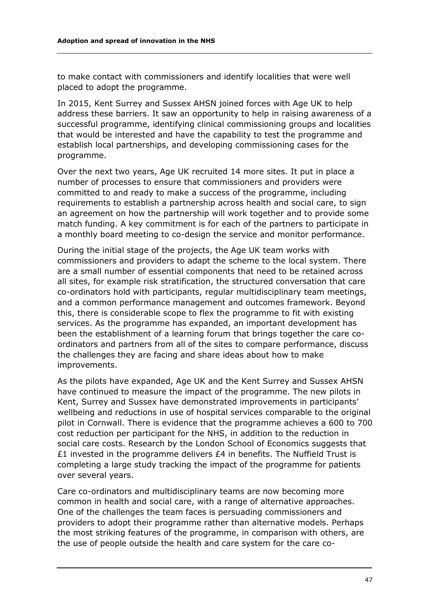to make contact with commissioners and identify localities that were well placed to adopt the programme.

In 2015, Kent Surrey and Sussex AHSN joined forces with Age UK to help address these barriers. It saw an opportunity to help in raising awareness of a successful programme, identifying clinical commissioning groups and localities that would be interested and have the capability to test the programme and establish local partnerships, and developing commissioning cases for the programme.

Over the next two years, Age UK recruited 14 more sites. It put in place a number of processes to ensure that commissioners and providers were committed to and ready to make a success of the programme, including requirements to establish a partnership across health and social care, to sign an agreement on how the partnership will work together and to provide some match funding. A key commitment is for each of the partners to participate in a monthly board meeting to co-design the service and monitor performance.

During the initial stage of the projects, the Age UK team works with commissioners and providers to adapt the scheme to the local system. There are a small number of essential components that need to be retained across all sites, for example risk stratification, the structured conversation that care co-ordinators hold with participants, regular multidisciplinary team meetings, and a common performance management and outcomes framework. Beyond this, there is considerable scope to flex the programme to fit with existing services. As the programme has expanded, an important development has been the establishment of a learning forum that brings together the care coordinators and partners from all of the sites to compare performance, discuss the challenges they are facing and share ideas about how to make improvements.

As the pilots have expanded, Age UK and the Kent Surrey and Sussex AHSN have continued to measure the impact of the programme. The new pilots in Kent, Surrey and Sussex have demonstrated improvements in participants' wellbeing and reductions in use of hospital services comparable to the original pilot in Cornwall. There is evidence that the programme achieves a 600 to 700 cost reduction per participant for the NHS, in addition to the reduction in social care costs. Research by the London School of Economics suggests that £1 invested in the programme delivers  $£4$  in benefits. The Nuffield Trust is completing a large study tracking the impact of the programme for patients over several years.

Care co-ordinators and multidisciplinary teams are now becoming more common in health and social care, with a range of alternative approaches. One of the challenges the team faces is persuading commissioners and providers to adopt their programme rather than alternative models. Perhaps the most striking features of the programme, in comparison with others, are the use of people outside the health and care system for the care co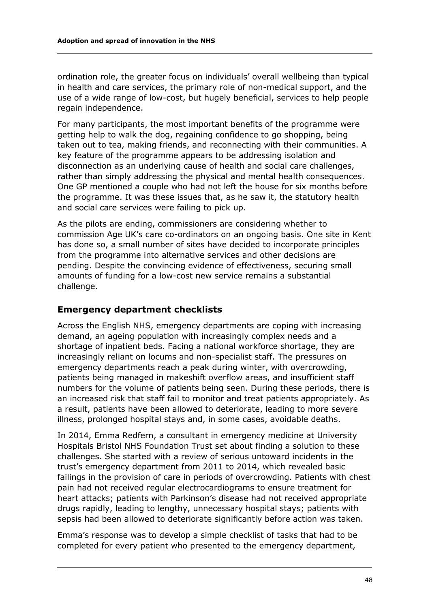ordination role, the greater focus on individuals' overall wellbeing than typical in health and care services, the primary role of non-medical support, and the use of a wide range of low-cost, but hugely beneficial, services to help people regain independence.

For many participants, the most important benefits of the programme were getting help to walk the dog, regaining confidence to go shopping, being taken out to tea, making friends, and reconnecting with their communities. A key feature of the programme appears to be addressing isolation and disconnection as an underlying cause of health and social care challenges, rather than simply addressing the physical and mental health consequences. One GP mentioned a couple who had not left the house for six months before the programme. It was these issues that, as he saw it, the statutory health and social care services were failing to pick up.

As the pilots are ending, commissioners are considering whether to commission Age UK's care co-ordinators on an ongoing basis. One site in Kent has done so, a small number of sites have decided to incorporate principles from the programme into alternative services and other decisions are pending. Despite the convincing evidence of effectiveness, securing small amounts of funding for a low-cost new service remains a substantial challenge.

#### **Emergency department checklists**

Across the English NHS, emergency departments are coping with increasing demand, an ageing population with increasingly complex needs and a shortage of inpatient beds. Facing a national workforce shortage, they are increasingly reliant on locums and non-specialist staff. The pressures on emergency departments reach a peak during winter, with overcrowding, patients being managed in makeshift overflow areas, and insufficient staff numbers for the volume of patients being seen. During these periods, there is an increased risk that staff fail to monitor and treat patients appropriately. As a result, patients have been allowed to deteriorate, leading to more severe illness, prolonged hospital stays and, in some cases, avoidable deaths.

In 2014, Emma Redfern, a consultant in emergency medicine at University Hospitals Bristol NHS Foundation Trust set about finding a solution to these challenges. She started with a review of serious untoward incidents in the trust's emergency department from 2011 to 2014, which revealed basic failings in the provision of care in periods of overcrowding. Patients with chest pain had not received regular electrocardiograms to ensure treatment for heart attacks; patients with Parkinson's disease had not received appropriate drugs rapidly, leading to lengthy, unnecessary hospital stays; patients with sepsis had been allowed to deteriorate significantly before action was taken.

Emma's response was to develop a simple checklist of tasks that had to be completed for every patient who presented to the emergency department,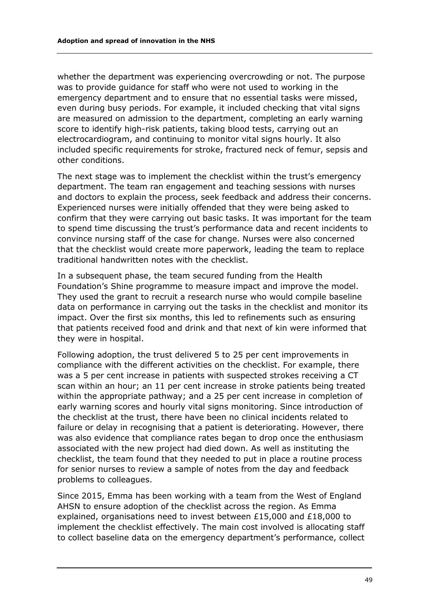whether the department was experiencing overcrowding or not. The purpose was to provide guidance for staff who were not used to working in the emergency department and to ensure that no essential tasks were missed, even during busy periods. For example, it included checking that vital signs are measured on admission to the department, completing an early warning score to identify high-risk patients, taking blood tests, carrying out an electrocardiogram, and continuing to monitor vital signs hourly. It also included specific requirements for stroke, fractured neck of femur, sepsis and other conditions.

The next stage was to implement the checklist within the trust's emergency department. The team ran engagement and teaching sessions with nurses and doctors to explain the process, seek feedback and address their concerns. Experienced nurses were initially offended that they were being asked to confirm that they were carrying out basic tasks. It was important for the team to spend time discussing the trust's performance data and recent incidents to convince nursing staff of the case for change. Nurses were also concerned that the checklist would create more paperwork, leading the team to replace traditional handwritten notes with the checklist.

In a subsequent phase, the team secured funding from the Health Foundation's Shine programme to measure impact and improve the model. They used the grant to recruit a research nurse who would compile baseline data on performance in carrying out the tasks in the checklist and monitor its impact. Over the first six months, this led to refinements such as ensuring that patients received food and drink and that next of kin were informed that they were in hospital.

Following adoption, the trust delivered 5 to 25 per cent improvements in compliance with the different activities on the checklist. For example, there was a 5 per cent increase in patients with suspected strokes receiving a CT scan within an hour; an 11 per cent increase in stroke patients being treated within the appropriate pathway; and a 25 per cent increase in completion of early warning scores and hourly vital signs monitoring. Since introduction of the checklist at the trust, there have been no clinical incidents related to failure or delay in recognising that a patient is deteriorating. However, there was also evidence that compliance rates began to drop once the enthusiasm associated with the new project had died down. As well as instituting the checklist, the team found that they needed to put in place a routine process for senior nurses to review a sample of notes from the day and feedback problems to colleagues.

Since 2015, Emma has been working with a team from the West of England AHSN to ensure adoption of the checklist across the region. As Emma explained, organisations need to invest between £15,000 and £18,000 to implement the checklist effectively. The main cost involved is allocating staff to collect baseline data on the emergency department's performance, collect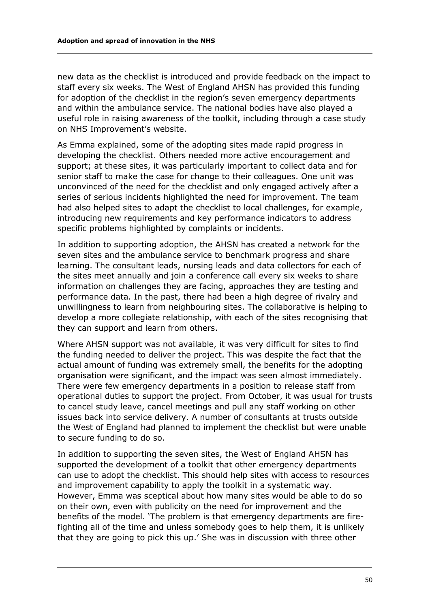new data as the checklist is introduced and provide feedback on the impact to staff every six weeks. The West of England AHSN has provided this funding for adoption of the checklist in the region's seven emergency departments and within the ambulance service. The national bodies have also played a useful role in raising awareness of the toolkit, including through a case study on NHS Improvement's website.

As Emma explained, some of the adopting sites made rapid progress in developing the checklist. Others needed more active encouragement and support; at these sites, it was particularly important to collect data and for senior staff to make the case for change to their colleagues. One unit was unconvinced of the need for the checklist and only engaged actively after a series of serious incidents highlighted the need for improvement. The team had also helped sites to adapt the checklist to local challenges, for example, introducing new requirements and key performance indicators to address specific problems highlighted by complaints or incidents.

In addition to supporting adoption, the AHSN has created a network for the seven sites and the ambulance service to benchmark progress and share learning. The consultant leads, nursing leads and data collectors for each of the sites meet annually and join a conference call every six weeks to share information on challenges they are facing, approaches they are testing and performance data. In the past, there had been a high degree of rivalry and unwillingness to learn from neighbouring sites. The collaborative is helping to develop a more collegiate relationship, with each of the sites recognising that they can support and learn from others.

Where AHSN support was not available, it was very difficult for sites to find the funding needed to deliver the project. This was despite the fact that the actual amount of funding was extremely small, the benefits for the adopting organisation were significant, and the impact was seen almost immediately. There were few emergency departments in a position to release staff from operational duties to support the project. From October, it was usual for trusts to cancel study leave, cancel meetings and pull any staff working on other issues back into service delivery. A number of consultants at trusts outside the West of England had planned to implement the checklist but were unable to secure funding to do so.

In addition to supporting the seven sites, the West of England AHSN has supported the development of a toolkit that other emergency departments can use to adopt the checklist. This should help sites with access to resources and improvement capability to apply the toolkit in a systematic way. However, Emma was sceptical about how many sites would be able to do so on their own, even with publicity on the need for improvement and the benefits of the model. 'The problem is that emergency departments are firefighting all of the time and unless somebody goes to help them, it is unlikely that they are going to pick this up.' She was in discussion with three other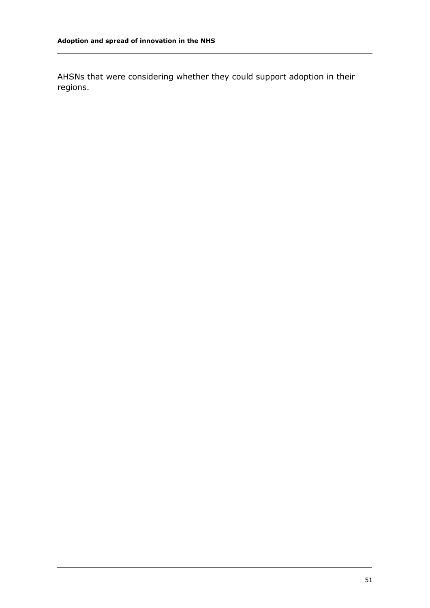AHSNs that were considering whether they could support adoption in their regions.